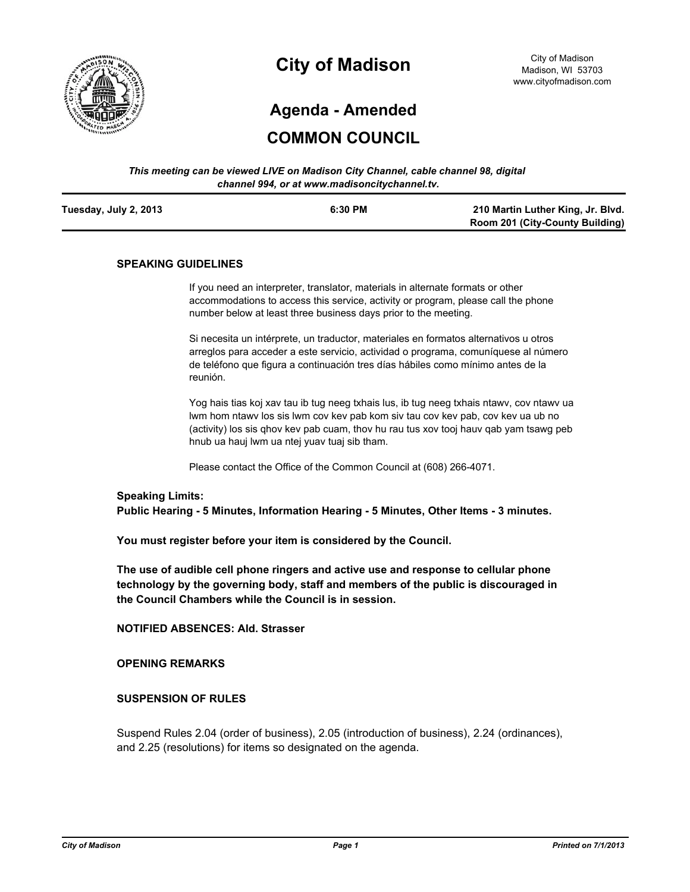

# **City of Madison**

# **Agenda - Amended**

# **COMMON COUNCIL**

| This meeting can be viewed LIVE on Madison City Channel, cable channel 98, digital |  |
|------------------------------------------------------------------------------------|--|
| channel 994, or at www.madisoncitychannel.tv.                                      |  |

| Tuesday, July 2, 2013 | 6:30 PM | 210 Martin Luther King, Jr. Blvd.      |
|-----------------------|---------|----------------------------------------|
|                       |         | <b>Room 201 (City-County Building)</b> |

#### **SPEAKING GUIDELINES**

If you need an interpreter, translator, materials in alternate formats or other accommodations to access this service, activity or program, please call the phone number below at least three business days prior to the meeting.

Si necesita un intérprete, un traductor, materiales en formatos alternativos u otros arreglos para acceder a este servicio, actividad o programa, comuníquese al número de teléfono que figura a continuación tres días hábiles como mínimo antes de la reunión.

Yog hais tias koj xav tau ib tug neeg txhais lus, ib tug neeg txhais ntawv, cov ntawv ua lwm hom ntawv los sis lwm cov kev pab kom siv tau cov kev pab, cov kev ua ub no (activity) los sis qhov kev pab cuam, thov hu rau tus xov tooj hauv qab yam tsawg peb hnub ua hauj lwm ua ntej yuav tuaj sib tham.

Please contact the Office of the Common Council at (608) 266-4071.

#### **Speaking Limits:**

**Public Hearing - 5 Minutes, Information Hearing - 5 Minutes, Other Items - 3 minutes.**

**You must register before your item is considered by the Council.**

**The use of audible cell phone ringers and active use and response to cellular phone technology by the governing body, staff and members of the public is discouraged in the Council Chambers while the Council is in session.**

**NOTIFIED ABSENCES: Ald. Strasser**

**OPENING REMARKS**

#### **SUSPENSION OF RULES**

Suspend Rules 2.04 (order of business), 2.05 (introduction of business), 2.24 (ordinances), and 2.25 (resolutions) for items so designated on the agenda.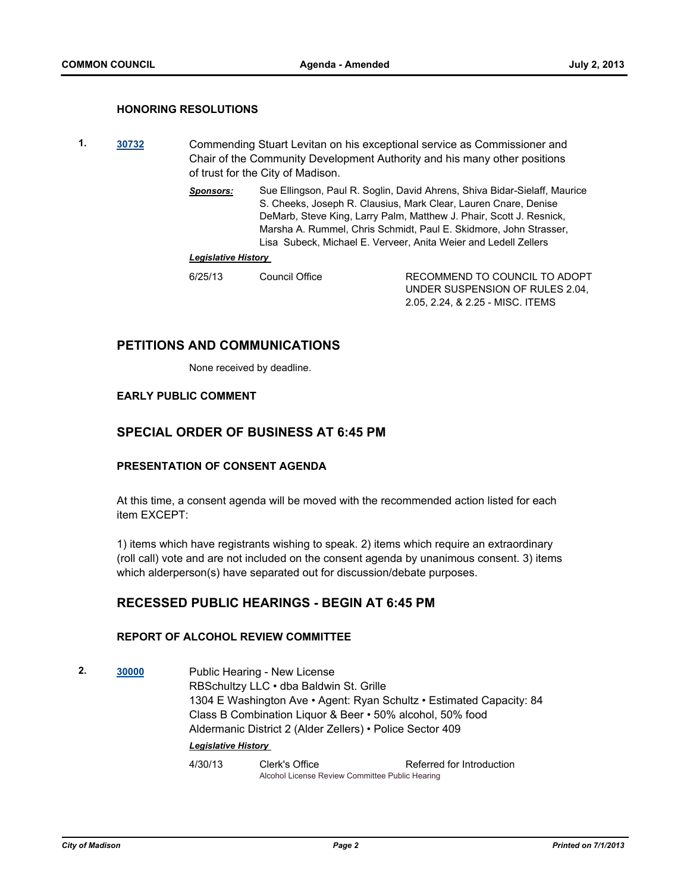#### **HONORING RESOLUTIONS**

- **1. [30732](http://madison.legistar.com/gateway.aspx?m=l&id=/matter.aspx?key=33564)** Commending Stuart Levitan on his exceptional service as Commissioner and Chair of the Community Development Authority and his many other positions of trust for the City of Madison.
	- *Sponsors:* Sue Ellingson, Paul R. Soglin, David Ahrens, Shiva Bidar-Sielaff, Maurice S. Cheeks, Joseph R. Clausius, Mark Clear, Lauren Cnare, Denise DeMarb, Steve King, Larry Palm, Matthew J. Phair, Scott J. Resnick, Marsha A. Rummel, Chris Schmidt, Paul E. Skidmore, John Strasser, Lisa Subeck, Michael E. Verveer, Anita Weier and Ledell Zellers

#### *Legislative History*

RECOMMEND TO COUNCIL TO ADOPT UNDER SUSPENSION OF RULES 2.04, 2.05, 2.24, & 2.25 - MISC. ITEMS

## **PETITIONS AND COMMUNICATIONS**

None received by deadline.

#### **EARLY PUBLIC COMMENT**

# **SPECIAL ORDER OF BUSINESS AT 6:45 PM**

#### **PRESENTATION OF CONSENT AGENDA**

At this time, a consent agenda will be moved with the recommended action listed for each item EXCEPT:

1) items which have registrants wishing to speak. 2) items which require an extraordinary (roll call) vote and are not included on the consent agenda by unanimous consent. 3) items which alderperson(s) have separated out for discussion/debate purposes.

# **RECESSED PUBLIC HEARINGS - BEGIN AT 6:45 PM**

#### **REPORT OF ALCOHOL REVIEW COMMITTEE**

**2. [30000](http://madison.legistar.com/gateway.aspx?m=l&id=/matter.aspx?key=32877)** Public Hearing - New License RBSchultzy LLC • dba Baldwin St. Grille 1304 E Washington Ave • Agent: Ryan Schultz • Estimated Capacity: 84 Class B Combination Liquor & Beer • 50% alcohol, 50% food Aldermanic District 2 (Alder Zellers) • Police Sector 409 *Legislative History* 

4/30/13 Clerk's Office Referred for Introduction Alcohol License Review Committee Public Hearing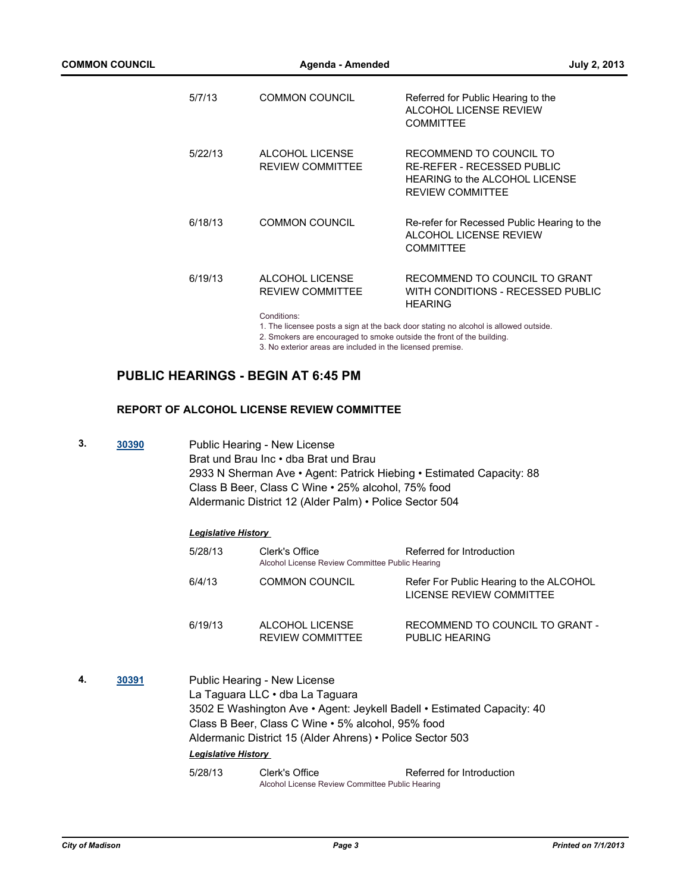| 5/7/13  | <b>COMMON COUNCIL</b>                      | Referred for Public Hearing to the<br><b>ALCOHOL LICENSE REVIEW</b><br><b>COMMITTEE</b>                                   |  |  |
|---------|--------------------------------------------|---------------------------------------------------------------------------------------------------------------------------|--|--|
| 5/22/13 | ALCOHOL LICENSE<br><b>REVIEW COMMITTEE</b> | RECOMMEND TO COUNCIL TO<br>RE-REFER - RECESSED PUBLIC<br><b>HEARING to the ALCOHOL LICENSE</b><br><b>REVIEW COMMITTEE</b> |  |  |
| 6/18/13 | <b>COMMON COUNCIL</b>                      | Re-refer for Recessed Public Hearing to the<br>ALCOHOL LICENSE REVIEW<br><b>COMMITTEE</b>                                 |  |  |
| 6/19/13 | ALCOHOL LICENSE<br><b>REVIEW COMMITTEE</b> | RECOMMEND TO COUNCIL TO GRANT<br>WITH CONDITIONS - RECESSED PUBLIC<br><b>HEARING</b>                                      |  |  |
|         | Conditions:                                | 1. The licensee posts a sign at the back door stating no alcohol is allowed outside.                                      |  |  |
|         |                                            | 0. Conclusion are encouraged to amalys quickle the front of the building                                                  |  |  |

2. Smokers are encouraged to smoke outside the front of the building. 3. No exterior areas are included in the licensed premise.

# **PUBLIC HEARINGS - BEGIN AT 6:45 PM**

# **REPORT OF ALCOHOL LICENSE REVIEW COMMITTEE**

**3. [30390](http://madison.legistar.com/gateway.aspx?m=l&id=/matter.aspx?key=33280)** Public Hearing - New License Brat und Brau Inc • dba Brat und Brau 2933 N Sherman Ave • Agent: Patrick Hiebing • Estimated Capacity: 88 Class B Beer, Class C Wine • 25% alcohol, 75% food Aldermanic District 12 (Alder Palm) • Police Sector 504

#### *Legislative History*

| 5/28/13 | Clerk's Office<br>Alcohol License Review Committee Public Hearing | Referred for Introduction                                           |
|---------|-------------------------------------------------------------------|---------------------------------------------------------------------|
| 6/4/13  | <b>COMMON COUNCIL</b>                                             | Refer For Public Hearing to the ALCOHOL<br>LICENSE REVIEW COMMITTEE |
| 6/19/13 | ALCOHOL LICENSE<br><b>REVIEW COMMITTEE</b>                        | RECOMMEND TO COUNCIL TO GRANT -<br>PUBLIC HEARING                   |

**4. [30391](http://madison.legistar.com/gateway.aspx?m=l&id=/matter.aspx?key=33281)** Public Hearing - New License La Taguara LLC • dba La Taguara 3502 E Washington Ave • Agent: Jeykell Badell • Estimated Capacity: 40 Class B Beer, Class C Wine • 5% alcohol, 95% food Aldermanic District 15 (Alder Ahrens) • Police Sector 503 *Legislative History*  5/28/13 Clerk's Office Referred for Introduction

Alcohol License Review Committee Public Hearing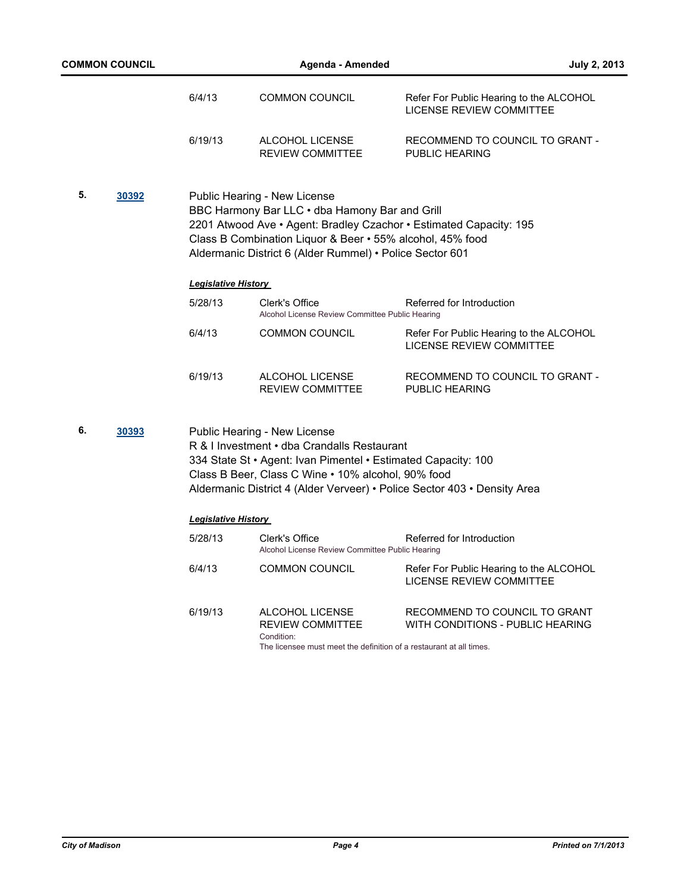| <b>COMMON COUNCIL</b> |       |                            | Agenda - Amended                                                                                                                                                                                        | <b>July 2, 2013</b>                                                        |
|-----------------------|-------|----------------------------|---------------------------------------------------------------------------------------------------------------------------------------------------------------------------------------------------------|----------------------------------------------------------------------------|
|                       |       | 6/4/13                     | <b>COMMON COUNCIL</b>                                                                                                                                                                                   | Refer For Public Hearing to the ALCOHOL<br><b>LICENSE REVIEW COMMITTEE</b> |
|                       |       | 6/19/13                    | ALCOHOL LICENSE<br><b>REVIEW COMMITTEE</b>                                                                                                                                                              | RECOMMEND TO COUNCIL TO GRANT -<br>PUBLIC HEARING                          |
| 5.                    | 30392 |                            | Public Hearing - New License<br>BBC Harmony Bar LLC . dba Hamony Bar and Grill<br>Class B Combination Liquor & Beer • 55% alcohol, 45% food<br>Aldermanic District 6 (Alder Rummel) • Police Sector 601 | 2201 Atwood Ave • Agent: Bradley Czachor • Estimated Capacity: 195         |
|                       |       | <b>Legislative History</b> |                                                                                                                                                                                                         |                                                                            |
|                       |       | 5/28/13                    | Clerk's Office<br>Alcohol License Review Committee Public Hearing                                                                                                                                       | Referred for Introduction                                                  |
|                       |       | 6/4/13                     | <b>COMMON COUNCIL</b>                                                                                                                                                                                   | Refer For Public Hearing to the ALCOHOL<br>LICENSE REVIEW COMMITTEE        |
|                       |       | 6/19/13                    | ALCOHOL LICENSE<br>REVIEW COMMITTEE                                                                                                                                                                     | RECOMMEND TO COUNCIL TO GRANT -<br><b>PUBLIC HEARING</b>                   |
| 6.                    | 30393 |                            | Public Hearing - New License<br>R & I Investment . dba Crandalls Restaurant<br>334 State St • Agent: Ivan Pimentel • Estimated Capacity: 100<br>Class B Beer, Class C Wine . 10% alcohol, 90% food      | Aldermanic District 4 (Alder Verveer) • Police Sector 403 • Density Area   |
|                       |       | <b>Legislative History</b> |                                                                                                                                                                                                         |                                                                            |
|                       |       | 5/28/13                    | Clerk's Office<br>Alcohol License Review Committee Public Hearing                                                                                                                                       | Referred for Introduction                                                  |
|                       |       | 6/4/13                     | <b>COMMON COUNCIL</b>                                                                                                                                                                                   | Refer For Public Hearing to the ALCOHOL<br>LICENSE REVIEW COMMITTEE        |
|                       |       | 6/19/13                    | ALCOHOL LICENSE<br><b>REVIEW COMMITTEE</b>                                                                                                                                                              | RECOMMEND TO COUNCIL TO GRANT<br>WITH CONDITIONS - PUBLIC HEARING          |
|                       |       |                            | Condition:<br>The licensee must meet the definition of a restaurant at all times.                                                                                                                       |                                                                            |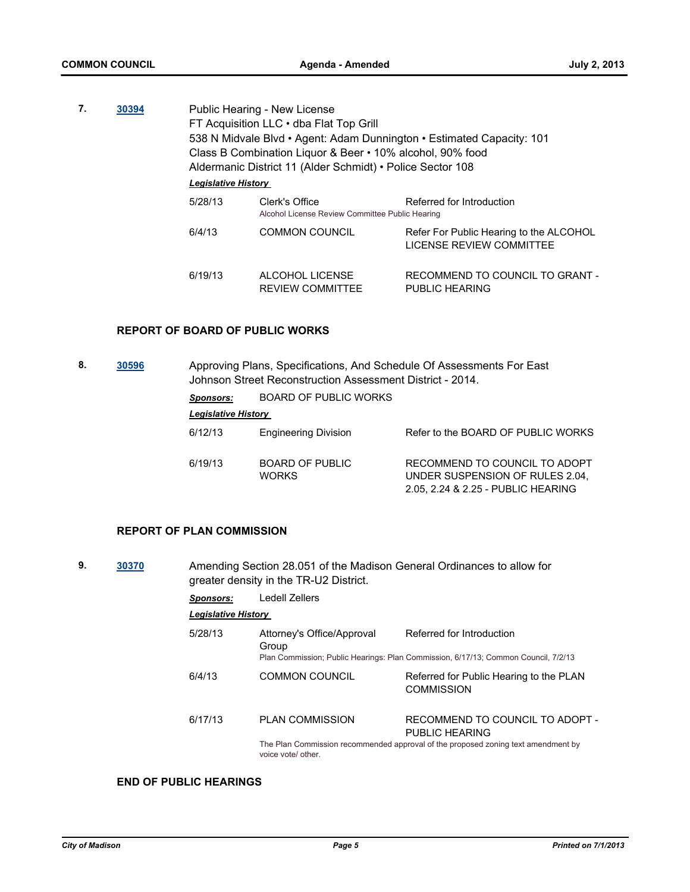| 7. | 30394 |                            | Public Hearing - New License<br>FT Acquisition LLC . dba Flat Top Grill<br>538 N Midvale Blvd • Agent: Adam Dunnington • Estimated Capacity: 101<br>Class B Combination Liquor & Beer • 10% alcohol, 90% food<br>Aldermanic District 11 (Alder Schmidt) • Police Sector 108 |                                                                     |  |  |
|----|-------|----------------------------|-----------------------------------------------------------------------------------------------------------------------------------------------------------------------------------------------------------------------------------------------------------------------------|---------------------------------------------------------------------|--|--|
|    |       | <b>Legislative History</b> |                                                                                                                                                                                                                                                                             |                                                                     |  |  |
|    |       | 5/28/13                    | Clerk's Office<br>Alcohol License Review Committee Public Hearing                                                                                                                                                                                                           | Referred for Introduction                                           |  |  |
|    |       | 6/4/13                     | <b>COMMON COUNCIL</b>                                                                                                                                                                                                                                                       | Refer For Public Hearing to the ALCOHOL<br>LICENSE REVIEW COMMITTEE |  |  |
|    |       | 6/19/13                    | ALCOHOL LICENSE<br><b>REVIEW COMMITTEE</b>                                                                                                                                                                                                                                  | RECOMMEND TO COUNCIL TO GRANT -<br>PUBLIC HEARING                   |  |  |

#### **REPORT OF BOARD OF PUBLIC WORKS**

**8. [30596](http://madison.legistar.com/gateway.aspx?m=l&id=/matter.aspx?key=33501)** Approving Plans, Specifications, And Schedule Of Assessments For East Johnson Street Reconstruction Assessment District - 2014.

*Sponsors:* BOARD OF PUBLIC WORKS

*Legislative History* 

| 6/12/13 | <b>Engineering Division</b>            | Refer to the BOARD OF PUBLIC WORKS                                                                     |
|---------|----------------------------------------|--------------------------------------------------------------------------------------------------------|
| 6/19/13 | <b>BOARD OF PUBLIC</b><br><b>WORKS</b> | RECOMMEND TO COUNCIL TO ADOPT<br>UNDER SUSPENSION OF RULES 2.04.<br>2.05, 2.24 & 2.25 - PUBLIC HEARING |

#### **REPORT OF PLAN COMMISSION**

| 9. | 30370   |                                     | greater density in the TR-U2 District. | Amending Section 28.051 of the Madison General Ordinances to allow for             |
|----|---------|-------------------------------------|----------------------------------------|------------------------------------------------------------------------------------|
|    |         | Sponsors:                           | Ledell Zellers                         |                                                                                    |
|    |         | <b>Legislative History</b>          |                                        |                                                                                    |
|    | 5/28/13 | Attorney's Office/Approval<br>Group | Referred for Introduction              |                                                                                    |
|    |         |                                     |                                        | Plan Commission; Public Hearings: Plan Commission, 6/17/13; Common Council, 7/2/13 |
|    |         | 6/4/13                              | <b>COMMON COUNCIL</b>                  | Referred for Public Hearing to the PLAN<br><b>COMMISSION</b>                       |
|    |         | 6/17/13                             | <b>PLAN COMMISSION</b>                 | RECOMMEND TO COUNCIL TO ADOPT -<br>PUBLIC HEARING                                  |
|    |         |                                     | voice vote/ other.                     | The Plan Commission recommended approval of the proposed zoning text amendment by  |

# **END OF PUBLIC HEARINGS**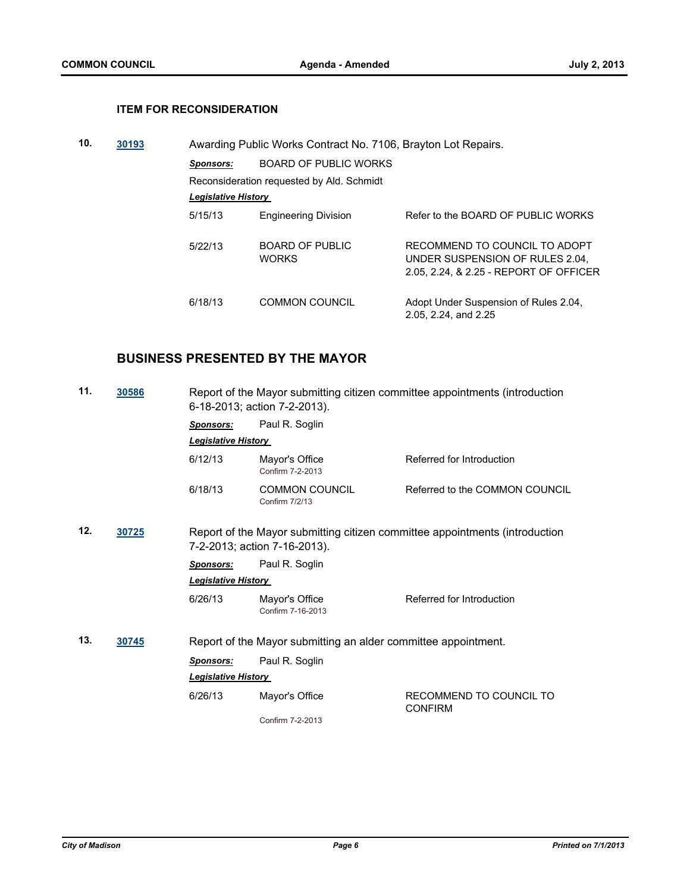# **ITEM FOR RECONSIDERATION**

| 10. | 30193 |                            | Awarding Public Works Contract No. 7106, Brayton Lot Repairs. |                                                                                                            |
|-----|-------|----------------------------|---------------------------------------------------------------|------------------------------------------------------------------------------------------------------------|
|     |       | Sponsors:                  | <b>BOARD OF PUBLIC WORKS</b>                                  |                                                                                                            |
|     |       |                            | Reconsideration requested by Ald. Schmidt                     |                                                                                                            |
|     |       | <b>Legislative History</b> |                                                               |                                                                                                            |
|     |       | 5/15/13                    | <b>Engineering Division</b>                                   | Refer to the BOARD OF PUBLIC WORKS                                                                         |
|     |       | 5/22/13                    | BOARD OF PUBLIC<br><b>WORKS</b>                               | RECOMMEND TO COUNCIL TO ADOPT<br>UNDER SUSPENSION OF RULES 2.04.<br>2.05, 2.24, & 2.25 - REPORT OF OFFICER |
|     |       | 6/18/13                    | COMMON COUNCIL                                                | Adopt Under Suspension of Rules 2.04,<br>2.05, 2.24, and 2.25                                              |

# **BUSINESS PRESENTED BY THE MAYOR**

| 11. | 30586 | Report of the Mayor submitting citizen committee appointments (introduction<br>6-18-2013; action 7-2-2013). |                                                                |                                                                             |
|-----|-------|-------------------------------------------------------------------------------------------------------------|----------------------------------------------------------------|-----------------------------------------------------------------------------|
|     |       | <b>Sponsors:</b>                                                                                            | Paul R. Soglin                                                 |                                                                             |
|     |       | <b>Legislative History</b>                                                                                  |                                                                |                                                                             |
|     |       | 6/12/13                                                                                                     | Mayor's Office<br>Confirm 7-2-2013                             | Referred for Introduction                                                   |
|     |       | 6/18/13                                                                                                     | <b>COMMON COUNCIL</b><br>Confirm 7/2/13                        | Referred to the COMMON COUNCIL                                              |
| 12. | 30725 |                                                                                                             | 7-2-2013; action 7-16-2013).                                   | Report of the Mayor submitting citizen committee appointments (introduction |
|     |       | <b>Sponsors:</b>                                                                                            | Paul R. Soglin                                                 |                                                                             |
|     |       | <b>Legislative History</b>                                                                                  |                                                                |                                                                             |
|     |       | 6/26/13                                                                                                     | Mayor's Office<br>Confirm 7-16-2013                            | Referred for Introduction                                                   |
| 13. | 30745 |                                                                                                             | Report of the Mayor submitting an alder committee appointment. |                                                                             |
|     |       | <b>Sponsors:</b>                                                                                            | Paul R. Soglin                                                 |                                                                             |
|     |       | <b>Legislative History</b>                                                                                  |                                                                |                                                                             |
|     |       | 6/26/13                                                                                                     | Mayor's Office                                                 | RECOMMEND TO COUNCIL TO<br><b>CONFIRM</b>                                   |
|     |       |                                                                                                             | Confirm 7-2-2013                                               |                                                                             |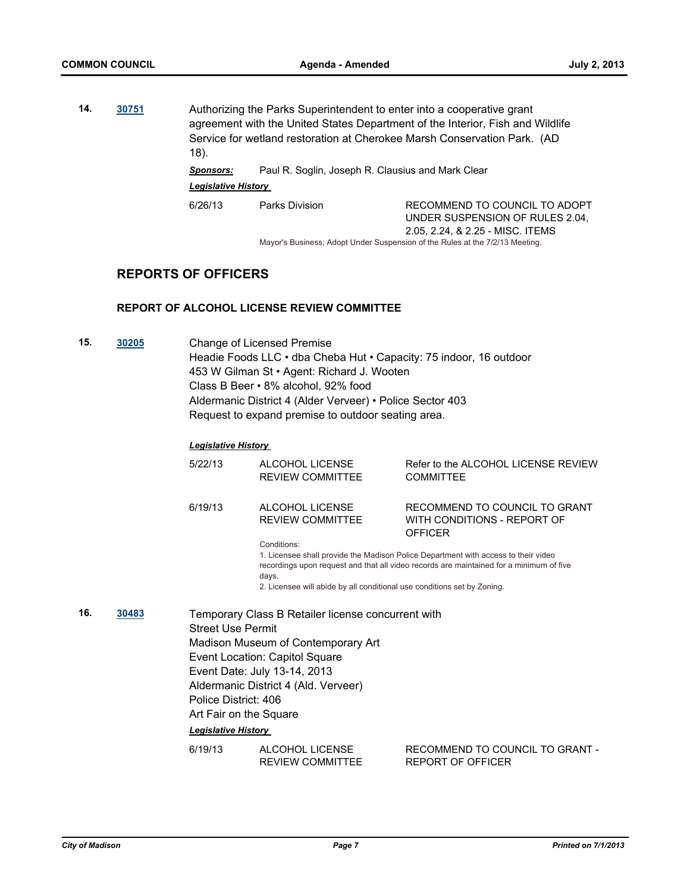**14. [30751](http://madison.legistar.com/gateway.aspx?m=l&id=/matter.aspx?key=33664)** Authorizing the Parks Superintendent to enter into a cooperative grant agreement with the United States Department of the Interior, Fish and Wildlife Service for wetland restoration at Cherokee Marsh Conservation Park. (AD 18). *Sponsors:* Paul R. Soglin, Joseph R. Clausius and Mark Clear

*Legislative History* 

6/26/13 Parks Division RECOMMEND TO COUNCIL TO ADOPT UNDER SUSPENSION OF RULES 2.04, 2.05, 2.24, & 2.25 - MISC. ITEMS Mayor's Business; Adopt Under Suspension of the Rules at the 7/2/13 Meeting.

**REPORTS OF OFFICERS**

#### **REPORT OF ALCOHOL LICENSE REVIEW COMMITTEE**

**15. [30205](http://madison.legistar.com/gateway.aspx?m=l&id=/matter.aspx?key=33089)** Change of Licensed Premise Headie Foods LLC • dba Cheba Hut • Capacity: 75 indoor, 16 outdoor 453 W Gilman St • Agent: Richard J. Wooten Class B Beer • 8% alcohol, 92% food Aldermanic District 4 (Alder Verveer) • Police Sector 403 Request to expand premise to outdoor seating area.

#### *Legislative History*

|              |  | 5/22/13                                                                                                  | ALCOHOL LICENSE<br><b>REVIEW COMMITTEE</b>                                                                                                                                                         | Refer to the ALCOHOL LICENSE REVIEW<br><b>COMMITTEE</b>                                                                                                                       |
|--------------|--|----------------------------------------------------------------------------------------------------------|----------------------------------------------------------------------------------------------------------------------------------------------------------------------------------------------------|-------------------------------------------------------------------------------------------------------------------------------------------------------------------------------|
|              |  | 6/19/13                                                                                                  | ALCOHOL LICENSE<br><b>REVIEW COMMITTEE</b>                                                                                                                                                         | RECOMMEND TO COUNCIL TO GRANT<br>WITH CONDITIONS - REPORT OF<br><b>OFFICER</b>                                                                                                |
|              |  |                                                                                                          | Conditions:<br>days.<br>2. Licensee will abide by all conditional use conditions set by Zoning.                                                                                                    | 1. Licensee shall provide the Madison Police Department with access to their video<br>recordings upon request and that all video records are maintained for a minimum of five |
| 16.<br>30483 |  | <b>Street Use Permit</b><br>Police District: 406<br>Art Fair on the Square<br><b>Legislative History</b> | Temporary Class B Retailer license concurrent with<br>Madison Museum of Contemporary Art<br>Event Location: Capitol Square<br>Event Date: July 13-14, 2013<br>Aldermanic District 4 (Ald. Verveer) |                                                                                                                                                                               |
|              |  | 6/19/13                                                                                                  | ALCOHOL LICENSE<br><b>REVIEW COMMITTEE</b>                                                                                                                                                         | RECOMMEND TO COUNCIL TO GRANT -<br><b>REPORT OF OFFICER</b>                                                                                                                   |
|              |  |                                                                                                          |                                                                                                                                                                                                    |                                                                                                                                                                               |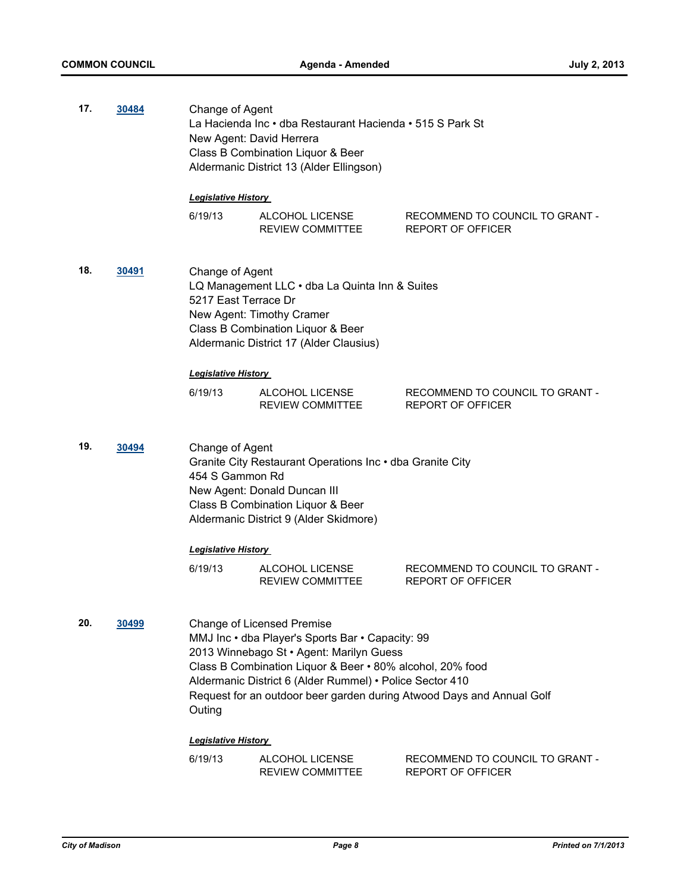| 17.<br>30484<br>Change of Agent<br>New Agent: David Herrera<br>Class B Combination Liquor & Beer |              | La Hacienda Inc • dba Restaurant Hacienda • 515 S Park St<br>Aldermanic District 13 (Alder Ellingson)                                                                                                                                                                                                                                         |                                            |                                                             |  |
|--------------------------------------------------------------------------------------------------|--------------|-----------------------------------------------------------------------------------------------------------------------------------------------------------------------------------------------------------------------------------------------------------------------------------------------------------------------------------------------|--------------------------------------------|-------------------------------------------------------------|--|
|                                                                                                  |              | <b>Legislative History</b>                                                                                                                                                                                                                                                                                                                    |                                            |                                                             |  |
|                                                                                                  |              | 6/19/13                                                                                                                                                                                                                                                                                                                                       | ALCOHOL LICENSE<br>REVIEW COMMITTEE        | RECOMMEND TO COUNCIL TO GRANT -<br><b>REPORT OF OFFICER</b> |  |
| 18.                                                                                              | 30491        | Change of Agent<br>LQ Management LLC · dba La Quinta Inn & Suites<br>5217 East Terrace Dr<br>New Agent: Timothy Cramer<br>Class B Combination Liquor & Beer<br>Aldermanic District 17 (Alder Clausius)                                                                                                                                        |                                            |                                                             |  |
|                                                                                                  |              | <b>Legislative History</b>                                                                                                                                                                                                                                                                                                                    |                                            |                                                             |  |
|                                                                                                  |              | 6/19/13                                                                                                                                                                                                                                                                                                                                       | ALCOHOL LICENSE<br>REVIEW COMMITTEE        | RECOMMEND TO COUNCIL TO GRANT -<br><b>REPORT OF OFFICER</b> |  |
| 19.                                                                                              | 30494        | Change of Agent<br>Granite City Restaurant Operations Inc . dba Granite City<br>454 S Gammon Rd<br>New Agent: Donald Duncan III<br>Class B Combination Liquor & Beer<br>Aldermanic District 9 (Alder Skidmore)                                                                                                                                |                                            |                                                             |  |
|                                                                                                  |              | <b>Legislative History</b>                                                                                                                                                                                                                                                                                                                    |                                            |                                                             |  |
|                                                                                                  |              | 6/19/13                                                                                                                                                                                                                                                                                                                                       | ALCOHOL LICENSE<br>REVIEW COMMITTEE        | RECOMMEND TO COUNCIL TO GRANT -<br>REPORT OF OFFICER        |  |
| 20.                                                                                              | <u>30499</u> | <b>Change of Licensed Premise</b><br>MMJ Inc • dba Player's Sports Bar • Capacity: 99<br>2013 Winnebago St · Agent: Marilyn Guess<br>Class B Combination Liquor & Beer • 80% alcohol, 20% food<br>Aldermanic District 6 (Alder Rummel) • Police Sector 410<br>Request for an outdoor beer garden during Atwood Days and Annual Golf<br>Outing |                                            |                                                             |  |
|                                                                                                  |              | <b>Legislative History</b>                                                                                                                                                                                                                                                                                                                    |                                            |                                                             |  |
|                                                                                                  |              | 6/19/13                                                                                                                                                                                                                                                                                                                                       | ALCOHOL LICENSE<br><b>REVIEW COMMITTEE</b> | RECOMMEND TO COUNCIL TO GRANT -<br><b>REPORT OF OFFICER</b> |  |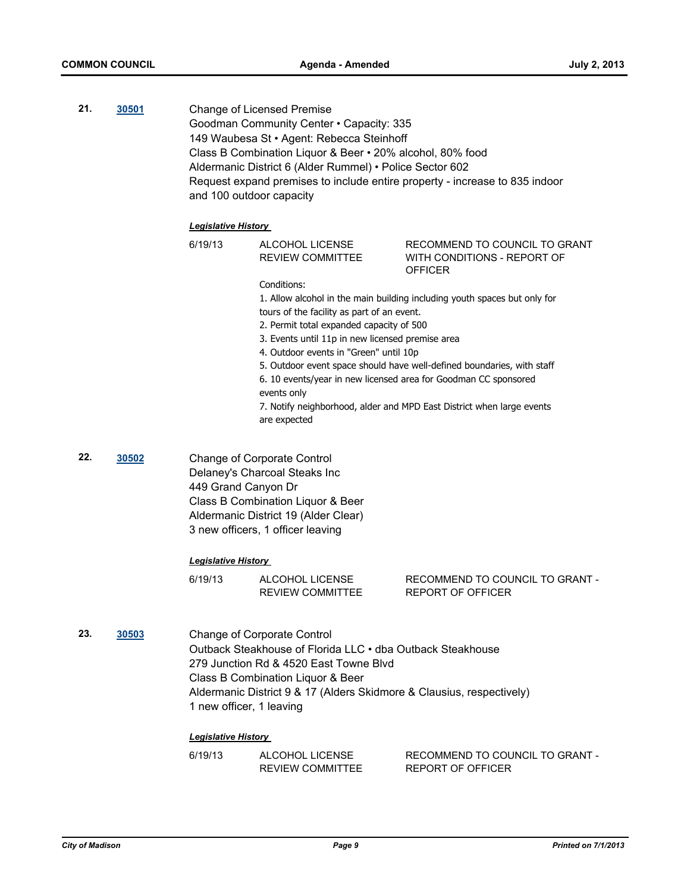**21. [30501](http://madison.legistar.com/gateway.aspx?m=l&id=/matter.aspx?key=33401)** Change of Licensed Premise Goodman Community Center • Capacity: 335 149 Waubesa St • Agent: Rebecca Steinhoff Class B Combination Liquor & Beer • 20% alcohol, 80% food Aldermanic District 6 (Alder Rummel) • Police Sector 602 Request expand premises to include entire property - increase to 835 indoor and 100 outdoor capacity

#### *Legislative History*

6/19/13 ALCOHOL LICENSE REVIEW COMMITTEE RECOMMEND TO COUNCIL TO GRANT WITH CONDITIONS - REPORT OF **OFFICER** Conditions: 1. Allow alcohol in the main building including youth spaces but only for tours of the facility as part of an event. 2. Permit total expanded capacity of 500 3. Events until 11p in new licensed premise area 4. Outdoor events in "Green" until 10p

5. Outdoor event space should have well-defined boundaries, with staff

6. 10 events/year in new licensed area for Goodman CC sponsored events only

7. Notify neighborhood, alder and MPD East District when large events are expected

**22. [30502](http://madison.legistar.com/gateway.aspx?m=l&id=/matter.aspx?key=33402)** Change of Corporate Control Delaney's Charcoal Steaks Inc 449 Grand Canyon Dr Class B Combination Liquor & Beer Aldermanic District 19 (Alder Clear) 3 new officers, 1 officer leaving

#### *Legislative History*

| 6/19/13 | ALCOHOL LICENSE  | RECOMMEND TO COUNCIL TO GRANT - |
|---------|------------------|---------------------------------|
|         | REVIEW COMMITTEE | REPORT OF OFFICER               |

**23. [30503](http://madison.legistar.com/gateway.aspx?m=l&id=/matter.aspx?key=33404)** Change of Corporate Control Outback Steakhouse of Florida LLC • dba Outback Steakhouse 279 Junction Rd & 4520 East Towne Blvd Class B Combination Liquor & Beer Aldermanic District 9 & 17 (Alders Skidmore & Clausius, respectively) 1 new officer, 1 leaving

#### *Legislative History*

| 6/19/13 | ALCOHOL LICENSE  | RECOMMEND TO COUNCIL TO GRANT - |
|---------|------------------|---------------------------------|
|         | REVIEW COMMITTEE | REPORT OF OFFICER               |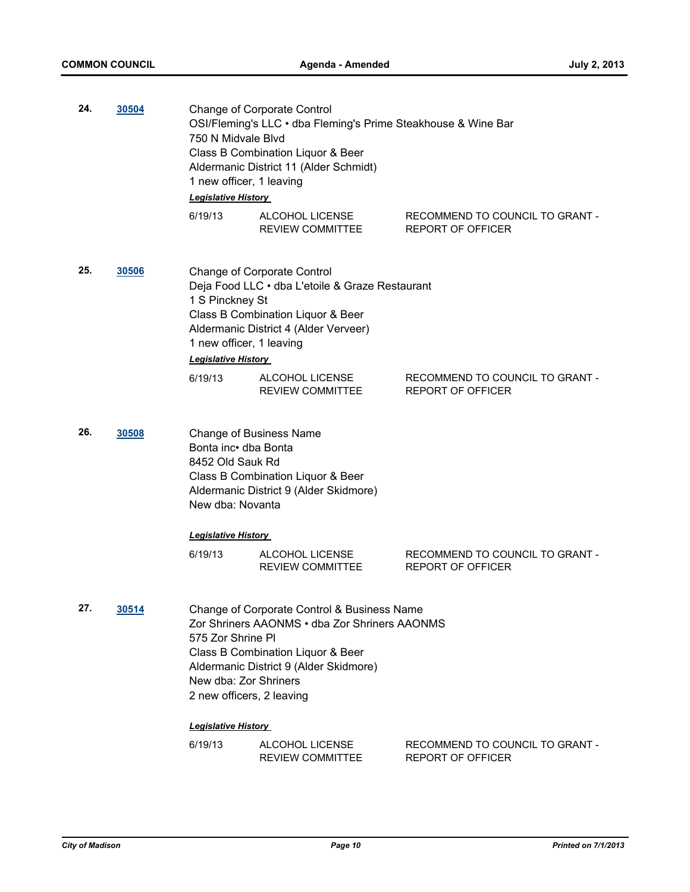| 24. | 30504 | <b>Change of Corporate Control</b><br>OSI/Fleming's LLC · dba Fleming's Prime Steakhouse & Wine Bar<br>750 N Midvale Blvd<br>Class B Combination Liquor & Beer<br>Aldermanic District 11 (Alder Schmidt)<br>1 new officer, 1 leaving<br>Legislative History |                                            |                                                             |
|-----|-------|-------------------------------------------------------------------------------------------------------------------------------------------------------------------------------------------------------------------------------------------------------------|--------------------------------------------|-------------------------------------------------------------|
|     |       | 6/19/13                                                                                                                                                                                                                                                     | ALCOHOL LICENSE<br>REVIEW COMMITTEE        | RECOMMEND TO COUNCIL TO GRANT -<br><b>REPORT OF OFFICER</b> |
| 25. | 30506 | Change of Corporate Control<br>Deja Food LLC · dba L'etoile & Graze Restaurant<br>1 S Pinckney St<br>Class B Combination Liquor & Beer<br>Aldermanic District 4 (Alder Verveer)<br>1 new officer, 1 leaving<br>Legislative History                          |                                            |                                                             |
|     |       | 6/19/13                                                                                                                                                                                                                                                     | ALCOHOL LICENSE<br><b>REVIEW COMMITTEE</b> | RECOMMEND TO COUNCIL TO GRANT -<br><b>REPORT OF OFFICER</b> |
| 26. | 30508 | <b>Change of Business Name</b><br>Bonta inc dba Bonta<br>8452 Old Sauk Rd<br>Class B Combination Liquor & Beer<br>Aldermanic District 9 (Alder Skidmore)<br>New dba: Novanta                                                                                |                                            |                                                             |
|     |       | <b>Legislative History</b>                                                                                                                                                                                                                                  |                                            |                                                             |
|     |       | 6/19/13                                                                                                                                                                                                                                                     | ALCOHOL LICENSE<br><b>REVIEW COMMITTEE</b> | RECOMMEND TO COUNCIL TO GRANT -<br><b>REPORT OF OFFICER</b> |
| 27. | 30514 | Change of Corporate Control & Business Name<br>Zor Shriners AAONMS • dba Zor Shriners AAONMS<br>575 Zor Shrine PI<br>Class B Combination Liquor & Beer<br>Aldermanic District 9 (Alder Skidmore)<br>New dba: Zor Shriners<br>2 new officers, 2 leaving      |                                            |                                                             |
|     |       | <b>Legislative History</b>                                                                                                                                                                                                                                  |                                            |                                                             |
|     |       | 6/19/13                                                                                                                                                                                                                                                     | ALCOHOL LICENSE<br><b>REVIEW COMMITTEE</b> | RECOMMEND TO COUNCIL TO GRANT -<br><b>REPORT OF OFFICER</b> |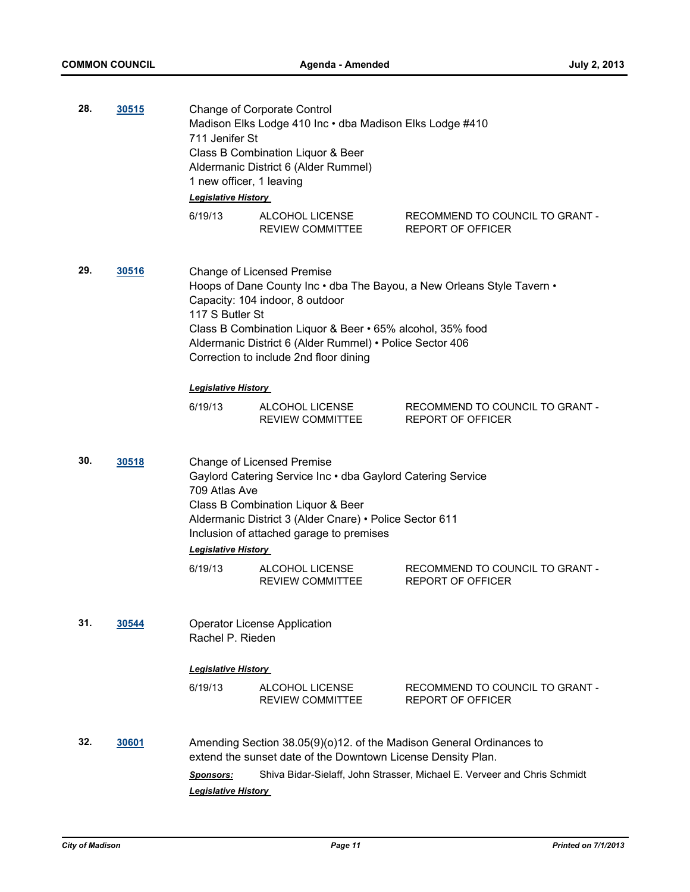| 28. | <u>30515</u> | 711 Jenifer St                                 | <b>Change of Corporate Control</b><br>Madison Elks Lodge 410 Inc · dba Madison Elks Lodge #410<br>Class B Combination Liquor & Beer<br>Aldermanic District 6 (Alder Rummel)<br>1 new officer, 1 leaving<br><b>Legislative History</b>        |                                                                          |
|-----|--------------|------------------------------------------------|----------------------------------------------------------------------------------------------------------------------------------------------------------------------------------------------------------------------------------------------|--------------------------------------------------------------------------|
|     |              | 6/19/13                                        | ALCOHOL LICENSE<br>REVIEW COMMITTEE                                                                                                                                                                                                          | RECOMMEND TO COUNCIL TO GRANT -<br><b>REPORT OF OFFICER</b>              |
| 29. | 30516        | 117 S Butler St                                | <b>Change of Licensed Premise</b><br>Capacity: 104 indoor, 8 outdoor<br>Class B Combination Liquor & Beer • 65% alcohol, 35% food<br>Aldermanic District 6 (Alder Rummel) • Police Sector 406<br>Correction to include 2nd floor dining      | Hoops of Dane County Inc . dba The Bayou, a New Orleans Style Tavern .   |
|     |              | <b>Legislative History</b>                     |                                                                                                                                                                                                                                              |                                                                          |
|     |              | 6/19/13                                        | ALCOHOL LICENSE<br>REVIEW COMMITTEE                                                                                                                                                                                                          | RECOMMEND TO COUNCIL TO GRANT -<br>REPORT OF OFFICER                     |
| 30. | 30518        | 709 Atlas Ave<br><b>Legislative History</b>    | <b>Change of Licensed Premise</b><br>Gaylord Catering Service Inc . dba Gaylord Catering Service<br>Class B Combination Liquor & Beer<br>Aldermanic District 3 (Alder Cnare) • Police Sector 611<br>Inclusion of attached garage to premises |                                                                          |
|     |              | 6/19/13                                        | ALCOHOL LICENSE<br><b>REVIEW COMMITTEE</b>                                                                                                                                                                                                   | RECOMMEND TO COUNCIL TO GRANT -<br>REPORT OF OFFICER                     |
| 31. | 30544        | Rachel P. Rieden                               | <b>Operator License Application</b>                                                                                                                                                                                                          |                                                                          |
|     |              | <b>Legislative History</b>                     |                                                                                                                                                                                                                                              |                                                                          |
|     |              | 6/19/13                                        | ALCOHOL LICENSE<br><b>REVIEW COMMITTEE</b>                                                                                                                                                                                                   | RECOMMEND TO COUNCIL TO GRANT -<br><b>REPORT OF OFFICER</b>              |
| 32. | 30601        |                                                | Amending Section 38.05(9)(o)12. of the Madison General Ordinances to<br>extend the sunset date of the Downtown License Density Plan.                                                                                                         |                                                                          |
|     |              | <b>Sponsors:</b><br><b>Legislative History</b> |                                                                                                                                                                                                                                              | Shiva Bidar-Sielaff, John Strasser, Michael E. Verveer and Chris Schmidt |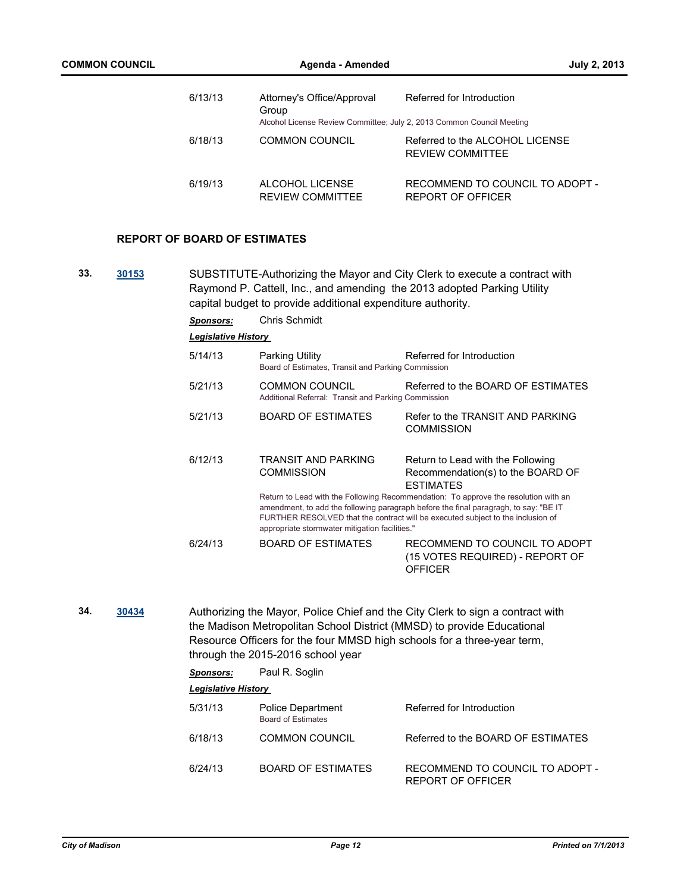| 6/13/13 | Attorney's Office/Approval<br>Group                                   | Referred for Introduction                                  |
|---------|-----------------------------------------------------------------------|------------------------------------------------------------|
|         | Alcohol License Review Committee; July 2, 2013 Common Council Meeting |                                                            |
| 6/18/13 | <b>COMMON COUNCIL</b>                                                 | Referred to the ALCOHOL LICENSE<br><b>REVIEW COMMITTEE</b> |
| 6/19/13 | ALCOHOL LICENSE<br><b>REVIEW COMMITTEE</b>                            | RECOMMEND TO COUNCIL TO ADOPT -<br>REPORT OF OFFICER       |

#### **REPORT OF BOARD OF ESTIMATES**

**33. [30153](http://madison.legistar.com/gateway.aspx?m=l&id=/matter.aspx?key=33033)** SUBSTITUTE-Authorizing the Mayor and City Clerk to execute a contract with Raymond P. Cattell, Inc., and amending the 2013 adopted Parking Utility capital budget to provide additional expenditure authority.

| <b>Sponsors:</b>           | <b>Chris Schmidt</b>                                                                                                                                                                                                                                                                                             |                                                                                            |
|----------------------------|------------------------------------------------------------------------------------------------------------------------------------------------------------------------------------------------------------------------------------------------------------------------------------------------------------------|--------------------------------------------------------------------------------------------|
| <b>Legislative History</b> |                                                                                                                                                                                                                                                                                                                  |                                                                                            |
| 5/14/13                    | Parking Utility<br>Board of Estimates, Transit and Parking Commission                                                                                                                                                                                                                                            | Referred for Introduction                                                                  |
| 5/21/13                    | COMMON COUNCIL<br>Additional Referral: Transit and Parking Commission                                                                                                                                                                                                                                            | Referred to the BOARD OF ESTIMATES                                                         |
| 5/21/13                    | <b>BOARD OF ESTIMATES</b>                                                                                                                                                                                                                                                                                        | Refer to the TRANSIT AND PARKING<br><b>COMMISSION</b>                                      |
| 6/12/13                    | TRANSIT AND PARKING<br><b>COMMISSION</b>                                                                                                                                                                                                                                                                         | Return to Lead with the Following<br>Recommendation(s) to the BOARD OF<br><b>ESTIMATES</b> |
|                            | Return to Lead with the Following Recommendation: To approve the resolution with an<br>amendment, to add the following paragraph before the final paragragh, to say: "BE IT<br>FURTHER RESOLVED that the contract will be executed subject to the inclusion of<br>appropriate stormwater mitigation facilities." |                                                                                            |
| 6/24/13                    | <b>BOARD OF ESTIMATES</b>                                                                                                                                                                                                                                                                                        | RECOMMEND TO COUNCIL TO ADOPT<br>(15 VOTES REQUIRED) - REPORT OF<br><b>OFFICER</b>         |

**34. [30434](http://madison.legistar.com/gateway.aspx?m=l&id=/matter.aspx?key=33327)** Authorizing the Mayor, Police Chief and the City Clerk to sign a contract with the Madison Metropolitan School District (MMSD) to provide Educational Resource Officers for the four MMSD high schools for a three-year term, through the 2015-2016 school year

| Sponsors:                  | Paul R. Soglin                                        |                                                      |
|----------------------------|-------------------------------------------------------|------------------------------------------------------|
| <b>Legislative History</b> |                                                       |                                                      |
| 5/31/13                    | <b>Police Department</b><br><b>Board of Estimates</b> | Referred for Introduction                            |
| 6/18/13                    | COMMON COUNCIL                                        | Referred to the BOARD OF FSTIMATES                   |
| 6/24/13                    | BOARD OF ESTIMATES                                    | RECOMMEND TO COUNCIL TO ADOPT -<br>REPORT OF OFFICER |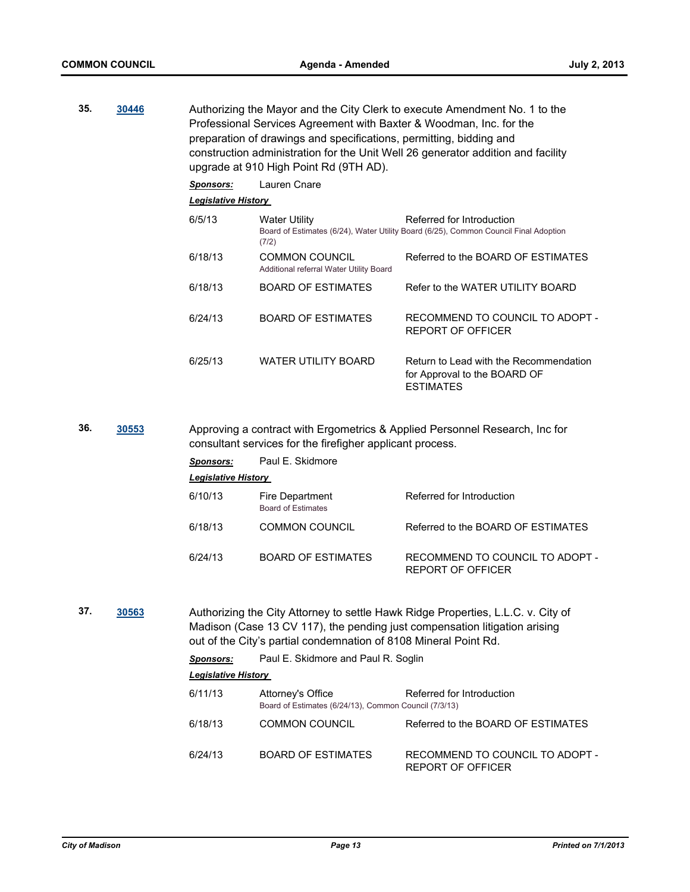| 35. | 30446        | Authorizing the Mayor and the City Clerk to execute Amendment No. 1 to the<br>Professional Services Agreement with Baxter & Woodman, Inc. for the<br>preparation of drawings and specifications, permitting, bidding and<br>construction administration for the Unit Well 26 generator addition and facility<br>upgrade at 910 High Point Rd (9TH AD). |                                                                            |                                                                                                                                                                |  |
|-----|--------------|--------------------------------------------------------------------------------------------------------------------------------------------------------------------------------------------------------------------------------------------------------------------------------------------------------------------------------------------------------|----------------------------------------------------------------------------|----------------------------------------------------------------------------------------------------------------------------------------------------------------|--|
|     |              | <b>Sponsors:</b>                                                                                                                                                                                                                                                                                                                                       | Lauren Cnare                                                               |                                                                                                                                                                |  |
|     |              | <b>Legislative History</b>                                                                                                                                                                                                                                                                                                                             |                                                                            |                                                                                                                                                                |  |
|     |              | 6/5/13                                                                                                                                                                                                                                                                                                                                                 | <b>Water Utility</b><br>(7/2)                                              | Referred for Introduction<br>Board of Estimates (6/24), Water Utility Board (6/25), Common Council Final Adoption                                              |  |
|     |              | 6/18/13                                                                                                                                                                                                                                                                                                                                                | <b>COMMON COUNCIL</b><br>Additional referral Water Utility Board           | Referred to the BOARD OF ESTIMATES                                                                                                                             |  |
|     |              | 6/18/13                                                                                                                                                                                                                                                                                                                                                | <b>BOARD OF ESTIMATES</b>                                                  | Refer to the WATER UTILITY BOARD                                                                                                                               |  |
|     |              | 6/24/13                                                                                                                                                                                                                                                                                                                                                | <b>BOARD OF ESTIMATES</b>                                                  | RECOMMEND TO COUNCIL TO ADOPT -<br><b>REPORT OF OFFICER</b>                                                                                                    |  |
|     |              | 6/25/13                                                                                                                                                                                                                                                                                                                                                | <b>WATER UTILITY BOARD</b>                                                 | Return to Lead with the Recommendation<br>for Approval to the BOARD OF<br><b>ESTIMATES</b>                                                                     |  |
| 36. | <u>30553</u> | Approving a contract with Ergometrics & Applied Personnel Research, Inc for<br>consultant services for the firefigher applicant process.                                                                                                                                                                                                               |                                                                            |                                                                                                                                                                |  |
|     |              | <b>Sponsors:</b>                                                                                                                                                                                                                                                                                                                                       | Paul E. Skidmore                                                           |                                                                                                                                                                |  |
|     |              | <b>Legislative History</b>                                                                                                                                                                                                                                                                                                                             |                                                                            |                                                                                                                                                                |  |
|     |              | 6/10/13                                                                                                                                                                                                                                                                                                                                                | Fire Department<br><b>Board of Estimates</b>                               | Referred for Introduction                                                                                                                                      |  |
|     |              | 6/18/13                                                                                                                                                                                                                                                                                                                                                | <b>COMMON COUNCIL</b>                                                      | Referred to the BOARD OF ESTIMATES                                                                                                                             |  |
|     |              | 6/24/13                                                                                                                                                                                                                                                                                                                                                | <b>BOARD OF ESTIMATES</b>                                                  | RECOMMEND TO COUNCIL TO ADOPT -<br><b>REPORT OF OFFICER</b>                                                                                                    |  |
| 37. | 30563        |                                                                                                                                                                                                                                                                                                                                                        | out of the City's partial condemnation of 8108 Mineral Point Rd.           | Authorizing the City Attorney to settle Hawk Ridge Properties, L.L.C. v. City of<br>Madison (Case 13 CV 117), the pending just compensation litigation arising |  |
|     |              | <b>Sponsors:</b>                                                                                                                                                                                                                                                                                                                                       | Paul E. Skidmore and Paul R. Soglin                                        |                                                                                                                                                                |  |
|     |              | <b>Legislative History</b>                                                                                                                                                                                                                                                                                                                             |                                                                            |                                                                                                                                                                |  |
|     |              | 6/11/13                                                                                                                                                                                                                                                                                                                                                | Attorney's Office<br>Board of Estimates (6/24/13), Common Council (7/3/13) | Referred for Introduction                                                                                                                                      |  |
|     |              | 6/18/13                                                                                                                                                                                                                                                                                                                                                | <b>COMMON COUNCIL</b>                                                      | Referred to the BOARD OF ESTIMATES                                                                                                                             |  |
|     |              | 6/24/13                                                                                                                                                                                                                                                                                                                                                | <b>BOARD OF ESTIMATES</b>                                                  | RECOMMEND TO COUNCIL TO ADOPT -<br>REPORT OF OFFICER                                                                                                           |  |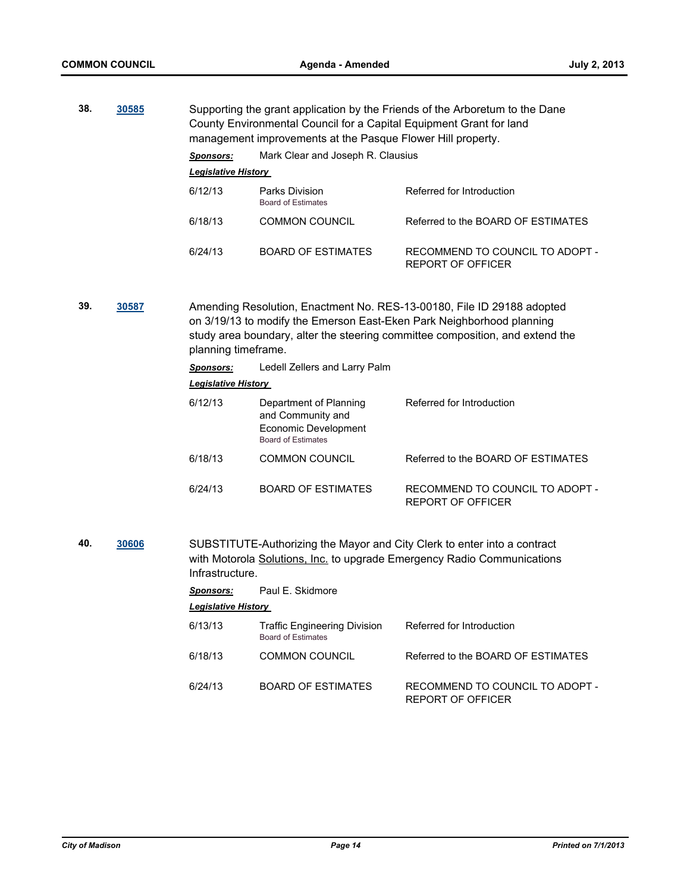| 38. | 30585 | Supporting the grant application by the Friends of the Arboretum to the Dane<br>County Environmental Council for a Capital Equipment Grant for land<br>management improvements at the Pasque Flower Hill property. |                                             |                                                      |
|-----|-------|--------------------------------------------------------------------------------------------------------------------------------------------------------------------------------------------------------------------|---------------------------------------------|------------------------------------------------------|
|     |       | <b>Sponsors:</b>                                                                                                                                                                                                   | Mark Clear and Joseph R. Clausius           |                                                      |
|     |       | <b>Legislative History</b>                                                                                                                                                                                         |                                             |                                                      |
|     |       | 6/12/13                                                                                                                                                                                                            | Parks Division<br><b>Board of Estimates</b> | Referred for Introduction                            |
|     |       | 6/18/13                                                                                                                                                                                                            | <b>COMMON COUNCIL</b>                       | Referred to the BOARD OF FSTIMATES                   |
|     |       | 6/24/13                                                                                                                                                                                                            | BOARD OF ESTIMATES                          | RECOMMEND TO COUNCIL TO ADOPT -<br>REPORT OF OFFICER |

**39. [30587](http://madison.legistar.com/gateway.aspx?m=l&id=/matter.aspx?key=33492)** Amending Resolution, Enactment No. RES-13-00180, File ID 29188 adopted on 3/19/13 to modify the Emerson East-Eken Park Neighborhood planning study area boundary, alter the steering committee composition, and extend the planning timeframe.

| <b>Sponsors:</b> | Ledell Zellers and Larry Palm |
|------------------|-------------------------------|
|                  |                               |

#### *Legislative History*

| 6/12/13 | Department of Planning<br>and Community and<br>Economic Development<br><b>Board of Estimates</b> | Referred for Introduction                            |
|---------|--------------------------------------------------------------------------------------------------|------------------------------------------------------|
| 6/18/13 | <b>COMMON COUNCIL</b>                                                                            | Referred to the BOARD OF ESTIMATES                   |
| 6/24/13 | <b>BOARD OF ESTIMATES</b>                                                                        | RECOMMEND TO COUNCIL TO ADOPT -<br>REPORT OF OFFICER |

**40. [30606](http://madison.legistar.com/gateway.aspx?m=l&id=/matter.aspx?key=33513)** SUBSTITUTE-Authorizing the Mayor and City Clerk to enter into a contract with Motorola Solutions, Inc. to upgrade Emergency Radio Communications Infrastructure.

*Sponsors:* Paul E. Skidmore

*Legislative History* 

| 6/13/13 | <b>Traffic Engineering Division</b><br>Board of Estimates | Referred for Introduction                            |
|---------|-----------------------------------------------------------|------------------------------------------------------|
| 6/18/13 | <b>COMMON COUNCIL</b>                                     | Referred to the BOARD OF ESTIMATES                   |
| 6/24/13 | <b>BOARD OF ESTIMATES</b>                                 | RECOMMEND TO COUNCIL TO ADOPT -<br>REPORT OF OFFICER |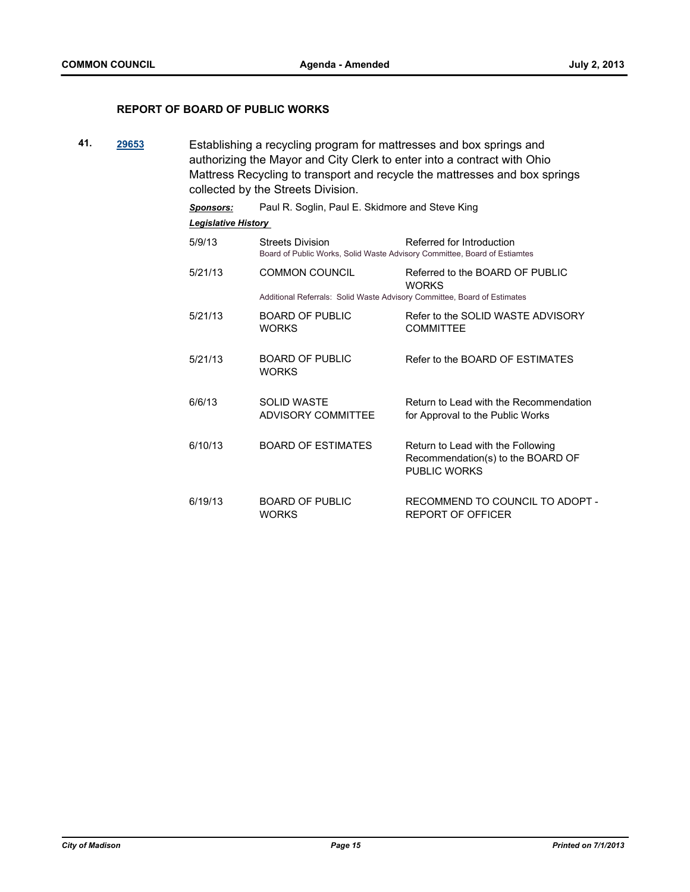## **REPORT OF BOARD OF PUBLIC WORKS**

**41. [29653](http://madison.legistar.com/gateway.aspx?m=l&id=/matter.aspx?key=32507)** Establishing a recycling program for mattresses and box springs and authorizing the Mayor and City Clerk to enter into a contract with Ohio Mattress Recycling to transport and recycle the mattresses and box springs collected by the Streets Division.

| <b>Sponsors:</b>           | Paul R. Soglin, Paul E. Skidmore and Steve King                                                                                   |                                                                                               |  |  |
|----------------------------|-----------------------------------------------------------------------------------------------------------------------------------|-----------------------------------------------------------------------------------------------|--|--|
| <b>Legislative History</b> |                                                                                                                                   |                                                                                               |  |  |
| 5/9/13                     | Referred for Introduction<br><b>Streets Division</b><br>Board of Public Works, Solid Waste Advisory Committee, Board of Estiamtes |                                                                                               |  |  |
| 5/21/13                    | <b>COMMON COUNCIL</b>                                                                                                             | Referred to the BOARD OF PUBLIC<br><b>WORKS</b>                                               |  |  |
|                            | Additional Referrals: Solid Waste Advisory Committee, Board of Estimates                                                          |                                                                                               |  |  |
| 5/21/13                    | BOARD OF PUBLIC<br><b>WORKS</b>                                                                                                   | Refer to the SOLID WASTE ADVISORY<br><b>COMMITTEE</b>                                         |  |  |
| 5/21/13                    | <b>BOARD OF PUBLIC</b><br><b>WORKS</b>                                                                                            | Refer to the BOARD OF ESTIMATES                                                               |  |  |
| 6/6/13                     | <b>SOLID WASTE</b><br><b>ADVISORY COMMITTEE</b>                                                                                   | Return to Lead with the Recommendation<br>for Approval to the Public Works                    |  |  |
| 6/10/13                    | <b>BOARD OF ESTIMATES</b>                                                                                                         | Return to Lead with the Following<br>Recommendation(s) to the BOARD OF<br><b>PUBLIC WORKS</b> |  |  |
| 6/19/13                    | <b>BOARD OF PUBLIC</b><br><b>WORKS</b>                                                                                            | RECOMMEND TO COUNCIL TO ADOPT -<br><b>REPORT OF OFFICER</b>                                   |  |  |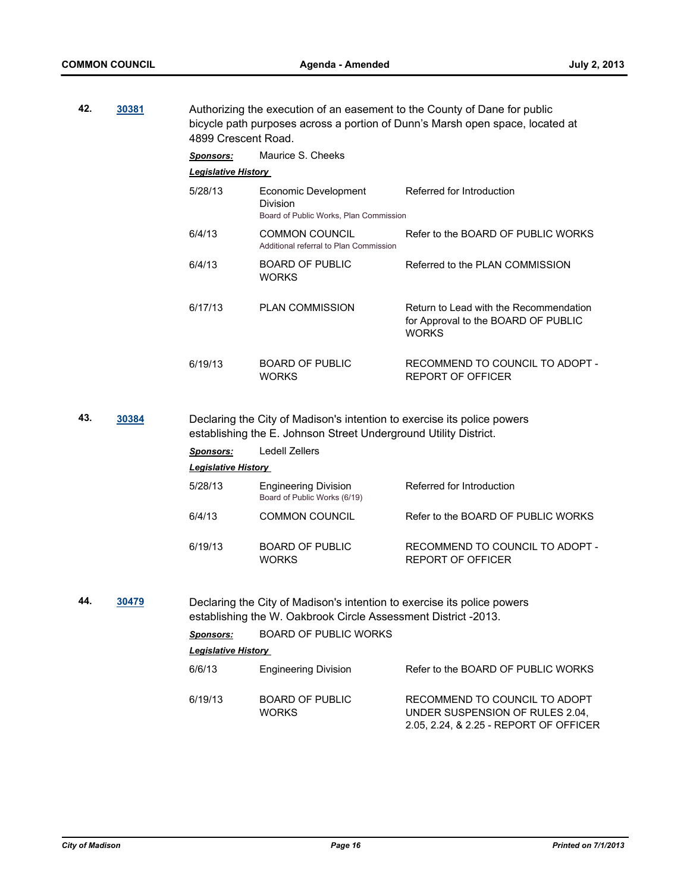**42. [30381](http://madison.legistar.com/gateway.aspx?m=l&id=/matter.aspx?key=33267)** Authorizing the execution of an easement to the County of Dane for public bicycle path purposes across a portion of Dunn's Marsh open space, located at 4899 Crescent Road.

|     |       | <b>Sponsors:</b>           | Maurice S. Cheeks                                                                                                                           |                                                                                               |
|-----|-------|----------------------------|---------------------------------------------------------------------------------------------------------------------------------------------|-----------------------------------------------------------------------------------------------|
|     |       | <b>Legislative History</b> |                                                                                                                                             |                                                                                               |
|     |       | 5/28/13                    | Economic Development<br><b>Division</b><br>Board of Public Works, Plan Commission                                                           | Referred for Introduction                                                                     |
|     |       | 6/4/13                     | <b>COMMON COUNCIL</b><br>Additional referral to Plan Commission                                                                             | Refer to the BOARD OF PUBLIC WORKS                                                            |
|     |       | 6/4/13                     | <b>BOARD OF PUBLIC</b><br><b>WORKS</b>                                                                                                      | Referred to the PLAN COMMISSION                                                               |
|     |       | 6/17/13                    | <b>PLAN COMMISSION</b>                                                                                                                      | Return to Lead with the Recommendation<br>for Approval to the BOARD OF PUBLIC<br><b>WORKS</b> |
|     |       | 6/19/13                    | <b>BOARD OF PUBLIC</b><br><b>WORKS</b>                                                                                                      | RECOMMEND TO COUNCIL TO ADOPT -<br><b>REPORT OF OFFICER</b>                                   |
| 43. | 30384 |                            | Declaring the City of Madison's intention to exercise its police powers<br>establishing the E. Johnson Street Underground Utility District. |                                                                                               |
|     |       | <b>Sponsors:</b>           | <b>Ledell Zellers</b>                                                                                                                       |                                                                                               |
|     |       | <b>Legislative History</b> |                                                                                                                                             |                                                                                               |
|     |       | 5/28/13                    | <b>Engineering Division</b><br>Board of Public Works (6/19)                                                                                 | Referred for Introduction                                                                     |
|     |       | 6/4/13                     | <b>COMMON COUNCIL</b>                                                                                                                       | Refer to the BOARD OF PUBLIC WORKS                                                            |
|     |       | 6/19/13                    | <b>BOARD OF PUBLIC</b><br><b>WORKS</b>                                                                                                      | RECOMMEND TO COUNCIL TO ADOPT -<br><b>REPORT OF OFFICER</b>                                   |
|     |       |                            |                                                                                                                                             |                                                                                               |

**44. [30479](http://madison.legistar.com/gateway.aspx?m=l&id=/matter.aspx?key=33376)** Declaring the City of Madison's intention to exercise its police powers establishing the W. Oakbrook Circle Assessment District -2013. *Sponsors:* BOARD OF PUBLIC WORKS *Legislative History*  6/6/13 Engineering Division Refer to the BOARD OF PUBLIC WORKS 6/19/13 BOARD OF PUBLIC WORKS RECOMMEND TO COUNCIL TO ADOPT UNDER SUSPENSION OF RULES 2.04,

2.05, 2.24, & 2.25 - REPORT OF OFFICER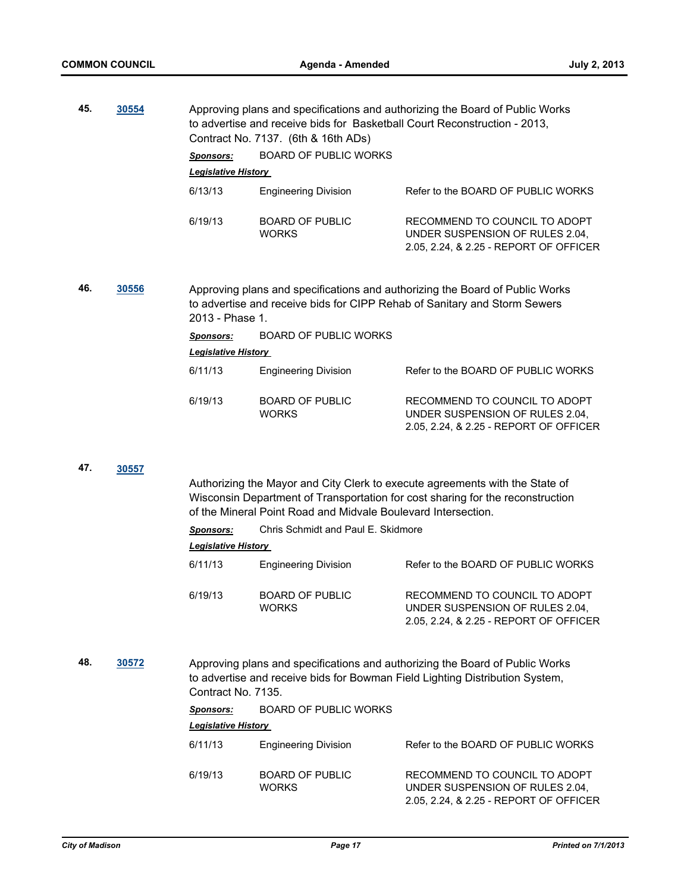| 45. | 30554 | <b>Sponsors:</b><br><b>Legislative History</b>                                                                                                                               | Approving plans and specifications and authorizing the Board of Public Works<br>to advertise and receive bids for Basketball Court Reconstruction - 2013,<br>Contract No. 7137. (6th & 16th ADs)<br><b>BOARD OF PUBLIC WORKS</b> |                                                                                                            |
|-----|-------|------------------------------------------------------------------------------------------------------------------------------------------------------------------------------|----------------------------------------------------------------------------------------------------------------------------------------------------------------------------------------------------------------------------------|------------------------------------------------------------------------------------------------------------|
|     |       | 6/13/13                                                                                                                                                                      | <b>Engineering Division</b>                                                                                                                                                                                                      | Refer to the BOARD OF PUBLIC WORKS                                                                         |
|     |       | 6/19/13                                                                                                                                                                      | <b>BOARD OF PUBLIC</b><br><b>WORKS</b>                                                                                                                                                                                           | RECOMMEND TO COUNCIL TO ADOPT<br>UNDER SUSPENSION OF RULES 2.04,<br>2.05, 2.24, & 2.25 - REPORT OF OFFICER |
| 46. | 30556 | Approving plans and specifications and authorizing the Board of Public Works<br>to advertise and receive bids for CIPP Rehab of Sanitary and Storm Sewers<br>2013 - Phase 1. |                                                                                                                                                                                                                                  |                                                                                                            |
|     |       | <b>Sponsors:</b>                                                                                                                                                             | <b>BOARD OF PUBLIC WORKS</b>                                                                                                                                                                                                     |                                                                                                            |
|     |       | <b>Legislative History</b>                                                                                                                                                   |                                                                                                                                                                                                                                  |                                                                                                            |
|     |       | 6/11/13                                                                                                                                                                      | <b>Engineering Division</b>                                                                                                                                                                                                      | Refer to the BOARD OF PUBLIC WORKS                                                                         |
|     |       | 6/19/13                                                                                                                                                                      | <b>BOARD OF PUBLIC</b><br><b>WORKS</b>                                                                                                                                                                                           | RECOMMEND TO COUNCIL TO ADOPT<br>UNDER SUSPENSION OF RULES 2.04,<br>2.05, 2.24, & 2.25 - REPORT OF OFFICER |
| 47. | 30557 |                                                                                                                                                                              |                                                                                                                                                                                                                                  |                                                                                                            |
|     |       |                                                                                                                                                                              | Authorizing the Mayor and City Clerk to execute agreements with the State of<br>Wisconsin Department of Transportation for cost sharing for the reconstruction<br>of the Mineral Point Road and Midvale Boulevard Intersection.  |                                                                                                            |
|     |       | <b>Sponsors:</b>                                                                                                                                                             | Chris Schmidt and Paul E. Skidmore                                                                                                                                                                                               |                                                                                                            |
|     |       | <b>Legislative History</b>                                                                                                                                                   |                                                                                                                                                                                                                                  |                                                                                                            |
|     |       | 6/11/13                                                                                                                                                                      | <b>Engineering Division</b>                                                                                                                                                                                                      | Refer to the BOARD OF PUBLIC WORKS                                                                         |
|     |       | 6/19/13                                                                                                                                                                      | <b>BOARD OF PUBLIC</b><br><b>WORKS</b>                                                                                                                                                                                           | RECOMMEND TO COUNCIL TO ADOPT<br>UNDER SUSPENSION OF RULES 2.04.<br>2.05, 2.24, & 2.25 - REPORT OF OFFICER |
| 48. | 30572 | Approving plans and specifications and authorizing the Board of Public Works<br>to advertise and receive bids for Bowman Field Lighting Distribution System,                 |                                                                                                                                                                                                                                  |                                                                                                            |

Contract No. 7135.

| <b>Sponsors:</b>           | <b>BOARD OF PUBLIC WORKS</b>           |                                                                                                            |  |  |
|----------------------------|----------------------------------------|------------------------------------------------------------------------------------------------------------|--|--|
| <b>Legislative History</b> |                                        |                                                                                                            |  |  |
| 6/11/13                    | <b>Engineering Division</b>            | Refer to the BOARD OF PUBLIC WORKS                                                                         |  |  |
| 6/19/13                    | <b>BOARD OF PUBLIC</b><br><b>WORKS</b> | RECOMMEND TO COUNCIL TO ADOPT<br>UNDER SUSPENSION OF RULES 2.04.<br>2.05, 2.24, & 2.25 - REPORT OF OFFICER |  |  |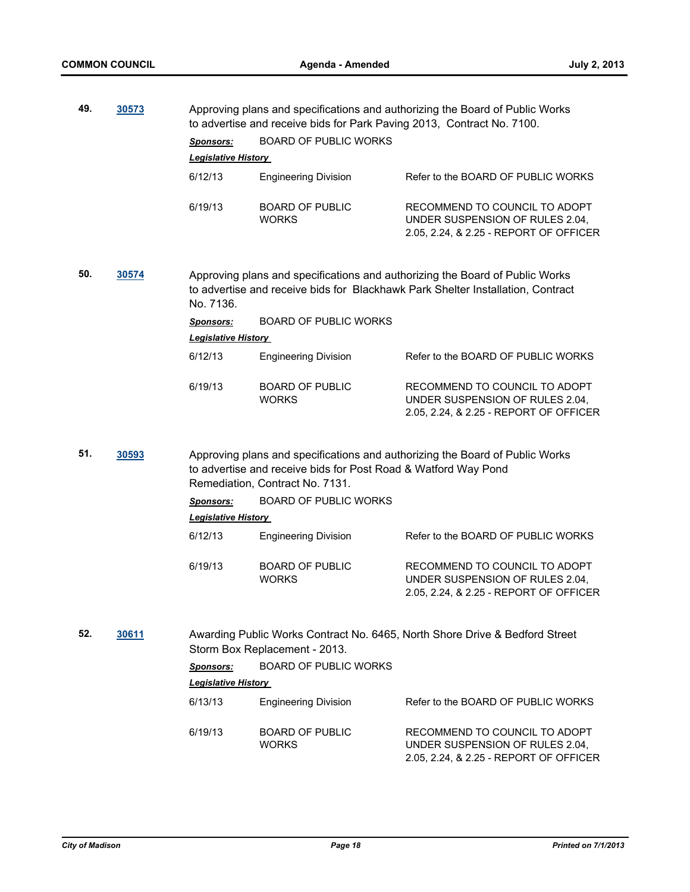| 49. | 30573 |                            | Approving plans and specifications and authorizing the Board of Public Works<br>to advertise and receive bids for Park Paving 2013, Contract No. 7100. |                                                                                                                                                                 |
|-----|-------|----------------------------|--------------------------------------------------------------------------------------------------------------------------------------------------------|-----------------------------------------------------------------------------------------------------------------------------------------------------------------|
|     |       | Sponsors:                  | <b>BOARD OF PUBLIC WORKS</b>                                                                                                                           |                                                                                                                                                                 |
|     |       | <b>Legislative History</b> |                                                                                                                                                        |                                                                                                                                                                 |
|     |       | 6/12/13                    | <b>Engineering Division</b>                                                                                                                            | Refer to the BOARD OF PUBLIC WORKS                                                                                                                              |
|     |       | 6/19/13                    | <b>BOARD OF PUBLIC</b><br><b>WORKS</b>                                                                                                                 | RECOMMEND TO COUNCIL TO ADOPT<br>UNDER SUSPENSION OF RULES 2.04,<br>2.05, 2.24, & 2.25 - REPORT OF OFFICER                                                      |
| 50. | 30574 | No. 7136.                  |                                                                                                                                                        | Approving plans and specifications and authorizing the Board of Public Works<br>to advertise and receive bids for Blackhawk Park Shelter Installation, Contract |
|     |       | <u>Sponsors:</u>           | <b>BOARD OF PUBLIC WORKS</b>                                                                                                                           |                                                                                                                                                                 |
|     |       | <b>Legislative History</b> |                                                                                                                                                        |                                                                                                                                                                 |
|     |       | 6/12/13                    | <b>Engineering Division</b>                                                                                                                            | Refer to the BOARD OF PUBLIC WORKS                                                                                                                              |
|     |       | 6/19/13                    | <b>BOARD OF PUBLIC</b><br><b>WORKS</b>                                                                                                                 | RECOMMEND TO COUNCIL TO ADOPT<br>UNDER SUSPENSION OF RULES 2.04,<br>2.05, 2.24, & 2.25 - REPORT OF OFFICER                                                      |
| 51. | 30593 |                            | to advertise and receive bids for Post Road & Watford Way Pond<br>Remediation, Contract No. 7131.                                                      | Approving plans and specifications and authorizing the Board of Public Works                                                                                    |
|     |       | <b>Sponsors:</b>           | <b>BOARD OF PUBLIC WORKS</b>                                                                                                                           |                                                                                                                                                                 |
|     |       | <b>Legislative History</b> |                                                                                                                                                        |                                                                                                                                                                 |
|     |       | 6/12/13                    | <b>Engineering Division</b>                                                                                                                            | Refer to the BOARD OF PUBLIC WORKS                                                                                                                              |
|     |       | 6/19/13                    | <b>BOARD OF PUBLIC</b><br><b>WORKS</b>                                                                                                                 | RECOMMEND TO COUNCIL TO ADOPT<br>UNDER SUSPENSION OF RULES 2.04,<br>2.05, 2.24, & 2.25 - REPORT OF OFFICER                                                      |
| 52. | 30611 |                            | Storm Box Replacement - 2013.                                                                                                                          | Awarding Public Works Contract No. 6465, North Shore Drive & Bedford Street                                                                                     |
|     |       | <u>Sponsors:</u>           | <b>BOARD OF PUBLIC WORKS</b>                                                                                                                           |                                                                                                                                                                 |
|     |       | <b>Legislative History</b> |                                                                                                                                                        |                                                                                                                                                                 |
|     |       | 6/13/13                    | <b>Engineering Division</b>                                                                                                                            | Refer to the BOARD OF PUBLIC WORKS                                                                                                                              |
|     |       | 6/19/13                    | <b>BOARD OF PUBLIC</b><br><b>WORKS</b>                                                                                                                 | RECOMMEND TO COUNCIL TO ADOPT<br>UNDER SUSPENSION OF RULES 2.04,<br>2.05, 2.24, & 2.25 - REPORT OF OFFICER                                                      |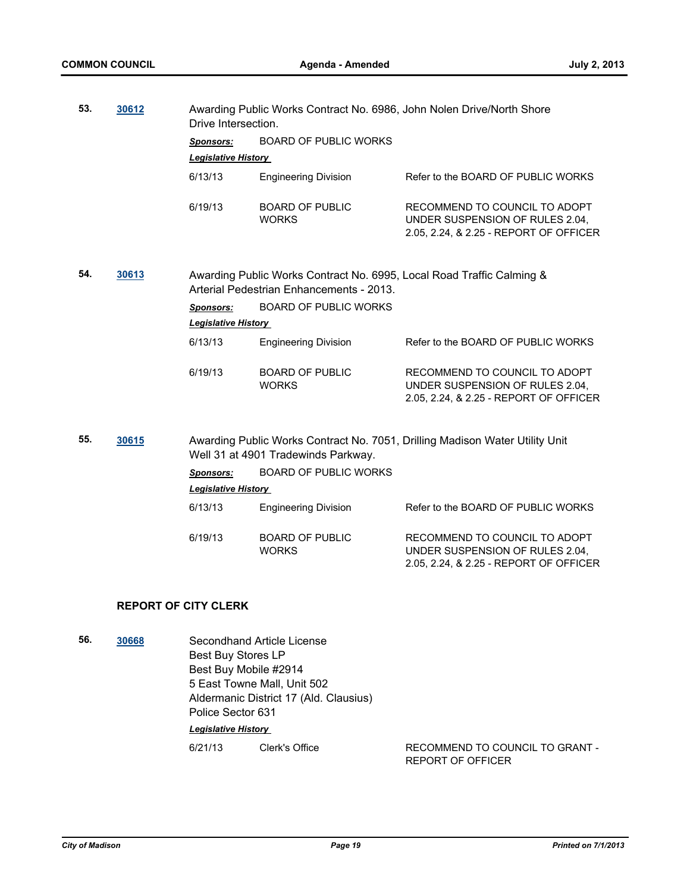| 53. | 30612 | Drive Intersection.        |                                          | Awarding Public Works Contract No. 6986, John Nolen Drive/North Shore                                      |
|-----|-------|----------------------------|------------------------------------------|------------------------------------------------------------------------------------------------------------|
|     |       | Sponsors:                  | <b>BOARD OF PUBLIC WORKS</b>             |                                                                                                            |
|     |       | <b>Legislative History</b> |                                          |                                                                                                            |
|     |       | 6/13/13                    | <b>Engineering Division</b>              | Refer to the BOARD OF PUBLIC WORKS                                                                         |
|     |       | 6/19/13                    | <b>BOARD OF PUBLIC</b><br><b>WORKS</b>   | RECOMMEND TO COUNCIL TO ADOPT<br>UNDER SUSPENSION OF RULES 2.04,<br>2.05, 2.24, & 2.25 - REPORT OF OFFICER |
| 54. | 30613 |                            | Arterial Pedestrian Enhancements - 2013. | Awarding Public Works Contract No. 6995, Local Road Traffic Calming &                                      |
|     |       | <b>Sponsors:</b>           | <b>BOARD OF PUBLIC WORKS</b>             |                                                                                                            |
|     |       | <b>Legislative History</b> |                                          |                                                                                                            |
|     |       | 6/13/13                    | <b>Engineering Division</b>              | Refer to the BOARD OF PUBLIC WORKS                                                                         |
|     |       | 6/19/13                    | <b>BOARD OF PUBLIC</b><br><b>WORKS</b>   | RECOMMEND TO COUNCIL TO ADOPT<br>UNDER SUSPENSION OF RULES 2.04,<br>2.05, 2.24, & 2.25 - REPORT OF OFFICER |
| 55. | 30615 |                            | Well 31 at 4901 Tradewinds Parkway.      | Awarding Public Works Contract No. 7051, Drilling Madison Water Utility Unit                               |
|     |       | <b>Sponsors:</b>           | <b>BOARD OF PUBLIC WORKS</b>             |                                                                                                            |
|     |       | <b>Legislative History</b> |                                          |                                                                                                            |
|     |       | 6/13/13                    | <b>Engineering Division</b>              | Refer to the BOARD OF PUBLIC WORKS                                                                         |
|     |       | 6/19/13                    | <b>BOARD OF PUBLIC</b><br><b>WORKS</b>   | RECOMMEND TO COUNCIL TO ADOPT<br>UNDER SUSPENSION OF RULES 2.04,<br>2.05, 2.24, & 2.25 - REPORT OF OFFICER |
|     |       |                            |                                          |                                                                                                            |

# **REPORT OF CITY CLERK**

**56. [30668](http://madison.legistar.com/gateway.aspx?m=l&id=/matter.aspx?key=33580)** Secondhand Article License Best Buy Stores LP Best Buy Mobile #2914 5 East Towne Mall, Unit 502 Aldermanic District 17 (Ald. Clausius) Police Sector 631

*Legislative History* 

6/21/13 Clerk's Office RECOMMEND TO COUNCIL TO GRANT - REPORT OF OFFICER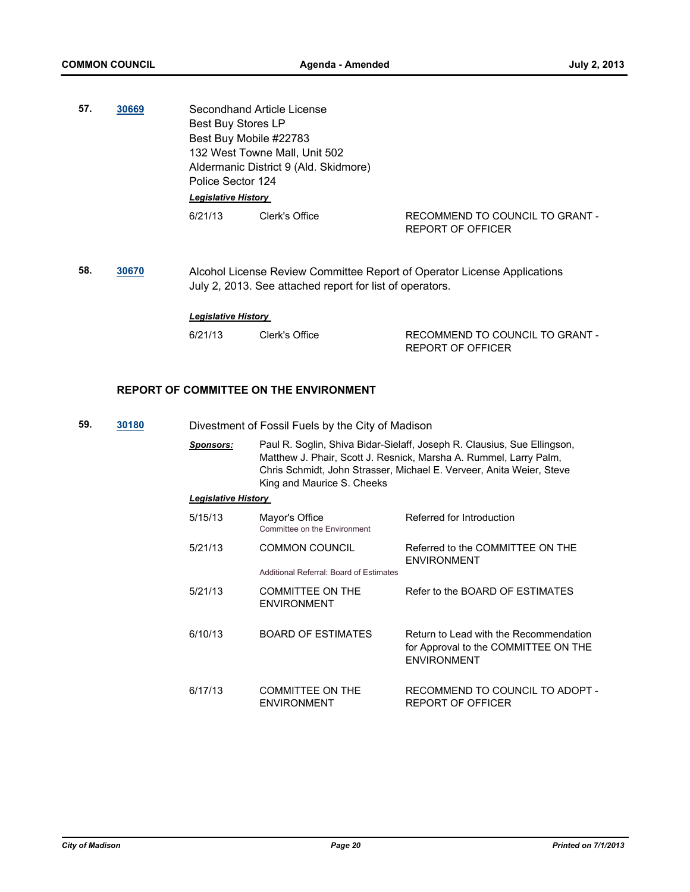- **57. [30669](http://madison.legistar.com/gateway.aspx?m=l&id=/matter.aspx?key=33581)** Secondhand Article License Best Buy Stores LP Best Buy Mobile #22783 132 West Towne Mall, Unit 502 Aldermanic District 9 (Ald. Skidmore) Police Sector 124 *Legislative History*  6/21/13 Clerk's Office RECOMMEND TO COUNCIL TO GRANT -
- **58. [30670](http://madison.legistar.com/gateway.aspx?m=l&id=/matter.aspx?key=33582)** Alcohol License Review Committee Report of Operator License Applications July 2, 2013. See attached report for list of operators.

*Legislative History* 

6/21/13 Clerk's Office RECOMMEND TO COUNCIL TO GRANT -REPORT OF OFFICER

REPORT OF OFFICER

#### **REPORT OF COMMITTEE ON THE ENVIRONMENT**

- **59. [30180](http://madison.legistar.com/gateway.aspx?m=l&id=/matter.aspx?key=33062)** Divestment of Fossil Fuels by the City of Madison
	- *Sponsors:* Paul R. Soglin, Shiva Bidar-Sielaff, Joseph R. Clausius, Sue Ellingson, Matthew J. Phair, Scott J. Resnick, Marsha A. Rummel, Larry Palm, Chris Schmidt, John Strasser, Michael E. Verveer, Anita Weier, Steve King and Maurice S. Cheeks

#### *Legislative History*

| 5/15/13 | Mayor's Office<br>Committee on the Environment                   | Referred for Introduction                                                                            |
|---------|------------------------------------------------------------------|------------------------------------------------------------------------------------------------------|
| 5/21/13 | <b>COMMON COUNCIL</b><br>Additional Referral: Board of Estimates | Referred to the COMMITTEE ON THE<br><b>ENVIRONMENT</b>                                               |
| 5/21/13 | <b>COMMITTEE ON THE</b><br><b>ENVIRONMENT</b>                    | Refer to the BOARD OF ESTIMATES                                                                      |
| 6/10/13 | <b>BOARD OF ESTIMATES</b>                                        | Return to Lead with the Recommendation<br>for Approval to the COMMITTEE ON THE<br><b>ENVIRONMENT</b> |
| 6/17/13 | <b>COMMITTEE ON THE</b><br><b>ENVIRONMENT</b>                    | RECOMMEND TO COUNCIL TO ADOPT -<br><b>REPORT OF OFFICER</b>                                          |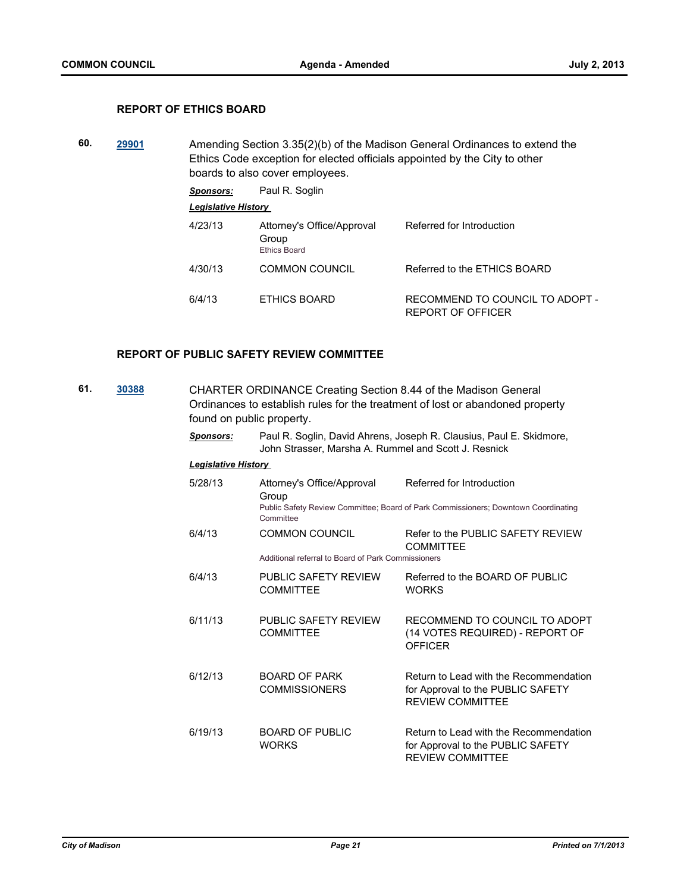## **REPORT OF ETHICS BOARD**

**60. [29901](http://madison.legistar.com/gateway.aspx?m=l&id=/matter.aspx?key=32774)** Amending Section 3.35(2)(b) of the Madison General Ordinances to extend the Ethics Code exception for elected officials appointed by the City to other boards to also cover employees.

*Sponsors:* Paul R. Soglin

*Legislative History* 

| 4/23/13 | Attorney's Office/Approval<br>Group<br><b>Ethics Board</b> | Referred for Introduction                            |
|---------|------------------------------------------------------------|------------------------------------------------------|
| 4/30/13 | <b>COMMON COUNCIL</b>                                      | Referred to the ETHICS BOARD                         |
| 6/4/13  | ETHICS BOARD                                               | RECOMMEND TO COUNCIL TO ADOPT -<br>REPORT OF OFFICER |

#### **REPORT OF PUBLIC SAFETY REVIEW COMMITTEE**

| 61. | 30388 | <b>CHARTER ORDINANCE Creating Section 8.44 of the Madison General</b><br>Ordinances to establish rules for the treatment of lost or abandoned property<br>found on public property. |                                                                                                                             |                                                                                                                 |  |
|-----|-------|-------------------------------------------------------------------------------------------------------------------------------------------------------------------------------------|-----------------------------------------------------------------------------------------------------------------------------|-----------------------------------------------------------------------------------------------------------------|--|
|     |       | <b>Sponsors:</b>                                                                                                                                                                    | Paul R. Soglin, David Ahrens, Joseph R. Clausius, Paul E. Skidmore,<br>John Strasser, Marsha A. Rummel and Scott J. Resnick |                                                                                                                 |  |
|     |       | <b>Legislative History</b>                                                                                                                                                          |                                                                                                                             |                                                                                                                 |  |
|     |       | 5/28/13                                                                                                                                                                             | Attorney's Office/Approval<br>Group<br>Committee                                                                            | Referred for Introduction<br>Public Safety Review Committee; Board of Park Commissioners; Downtown Coordinating |  |
|     |       | 6/4/13                                                                                                                                                                              | <b>COMMON COUNCIL</b><br>Additional referral to Board of Park Commissioners                                                 | Refer to the PUBLIC SAFETY REVIEW<br><b>COMMITTEE</b>                                                           |  |
|     |       | 6/4/13                                                                                                                                                                              | PUBLIC SAFETY REVIEW<br><b>COMMITTEE</b>                                                                                    | Referred to the BOARD OF PUBLIC<br><b>WORKS</b>                                                                 |  |
|     |       | 6/11/13                                                                                                                                                                             | PUBLIC SAFETY REVIEW<br><b>COMMITTEE</b>                                                                                    | RECOMMEND TO COUNCIL TO ADOPT<br>(14 VOTES REQUIRED) - REPORT OF<br><b>OFFICER</b>                              |  |
|     |       | 6/12/13                                                                                                                                                                             | <b>BOARD OF PARK</b><br><b>COMMISSIONERS</b>                                                                                | Return to Lead with the Recommendation<br>for Approval to the PUBLIC SAFETY<br><b>REVIEW COMMITTEE</b>          |  |
|     |       | 6/19/13                                                                                                                                                                             | <b>BOARD OF PUBLIC</b><br><b>WORKS</b>                                                                                      | Return to Lead with the Recommendation<br>for Approval to the PUBLIC SAFETY<br><b>REVIEW COMMITTEE</b>          |  |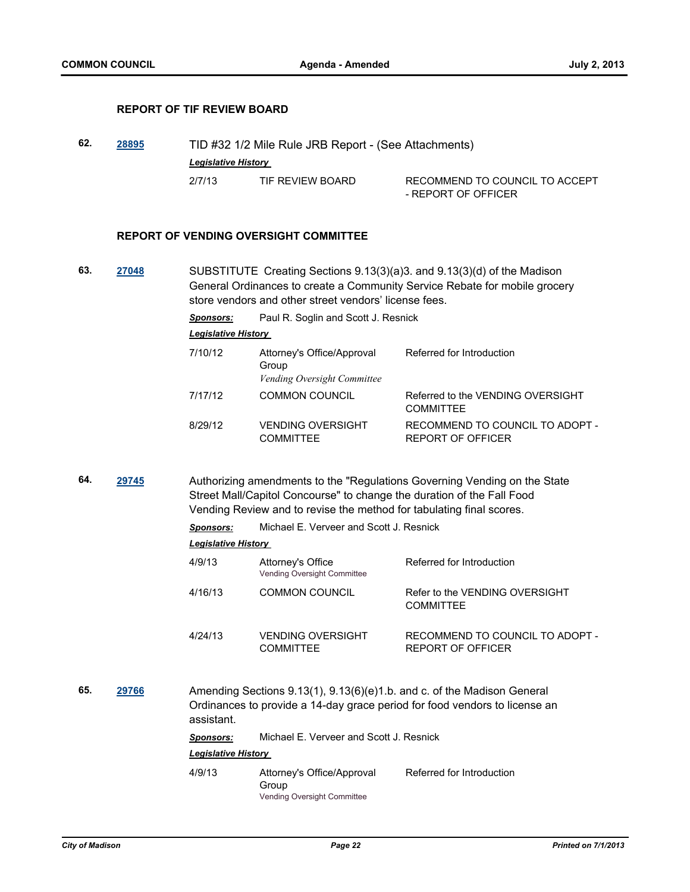## **REPORT OF TIF REVIEW BOARD**

| 62. | 28895 | TID #32 1/2 Mile Rule JRB Report - (See Attachments) |                  |                                |  |
|-----|-------|------------------------------------------------------|------------------|--------------------------------|--|
|     |       | <b>Legislative History</b>                           |                  |                                |  |
|     |       | 2/7/13                                               | TIF REVIEW BOARD | RECOMMEND TO COUNCIL TO ACCEPT |  |
|     |       |                                                      |                  | - REPORT OF OFFICER            |  |

### **REPORT OF VENDING OVERSIGHT COMMITTEE**

**63. [27048](http://madison.legistar.com/gateway.aspx?m=l&id=/matter.aspx?key=29718)** SUBSTITUTE Creating Sections 9.13(3)(a)3. and 9.13(3)(d) of the Madison General Ordinances to create a Community Service Rebate for mobile grocery store vendors and other street vendors' license fees.

*Sponsors:* Paul R. Soglin and Scott J. Resnick

*Legislative History* 

| Attorney's Office/Approval<br>Group<br>Vending Oversight Committee | Referred for Introduction                             |
|--------------------------------------------------------------------|-------------------------------------------------------|
| <b>COMMON COUNCIL</b>                                              | Referred to the VENDING OVERSIGHT<br><b>COMMITTEE</b> |
| <b>VENDING OVERSIGHT</b><br><b>COMMITTEE</b>                       | RECOMMEND TO COUNCIL TO ADOPT -<br>REPORT OF OFFICER  |
|                                                                    |                                                       |

**64. [29745](http://madison.legistar.com/gateway.aspx?m=l&id=/matter.aspx?key=32612)** Authorizing amendments to the "Regulations Governing Vending on the State Street Mall/Capitol Concourse" to change the duration of the Fall Food Vending Review and to revise the method for tabulating final scores.

*Sponsors:* Michael E. Verveer and Scott J. Resnick

| <b>Legislative History</b> |                                                         |                                                      |
|----------------------------|---------------------------------------------------------|------------------------------------------------------|
| 4/9/13                     | Attorney's Office<br><b>Vending Oversight Committee</b> | Referred for Introduction                            |
| 4/16/13                    | <b>COMMON COUNCIL</b>                                   | Refer to the VENDING OVERSIGHT<br><b>COMMITTEE</b>   |
| 4/24/13                    | <b>VENDING OVERSIGHT</b><br>COMMITTEE                   | RECOMMEND TO COUNCIL TO ADOPT -<br>REPORT OF OFFICER |

**65. [29766](http://madison.legistar.com/gateway.aspx?m=l&id=/matter.aspx?key=32633)** Amending Sections 9.13(1), 9.13(6)(e)1.b. and c. of the Madison General Ordinances to provide a 14-day grace period for food vendors to license an assistant.

| <b>Sponsors:</b> | Michael E. Verveer and Scott J. Resnick |  |
|------------------|-----------------------------------------|--|
|                  |                                         |  |

*Legislative History* 

4/9/13 Attorney's Office/Approval Group Referred for Introduction Vending Oversight Committee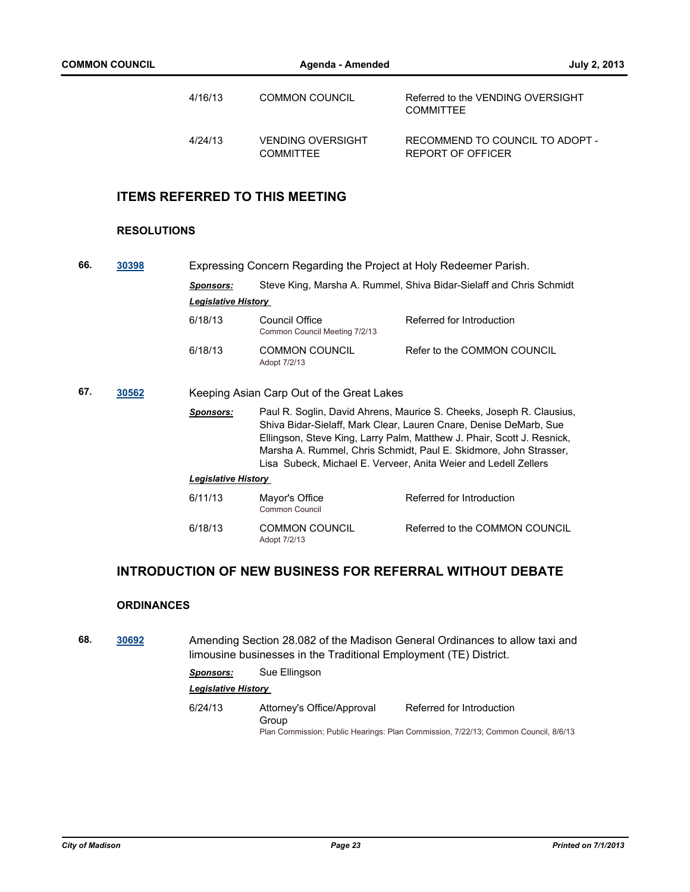| 4/16/13 | <b>COMMON COUNCIL</b>                        | Referred to the VENDING OVERSIGHT<br><b>COMMITTEE</b> |
|---------|----------------------------------------------|-------------------------------------------------------|
| 4/24/13 | <b>VENDING OVERSIGHT</b><br><b>COMMITTEF</b> | RECOMMEND TO COUNCIL TO ADOPT -<br>REPORT OF OFFICER  |

# **ITEMS REFERRED TO THIS MEETING**

# **RESOLUTIONS**

| 66. | 30398 | Expressing Concern Regarding the Project at Holy Redeemer Parish. |                                                 |                                                                                                                                                                                                                                                                                                                                                             |  |
|-----|-------|-------------------------------------------------------------------|-------------------------------------------------|-------------------------------------------------------------------------------------------------------------------------------------------------------------------------------------------------------------------------------------------------------------------------------------------------------------------------------------------------------------|--|
|     |       | <b>Sponsors:</b>                                                  |                                                 | Steve King, Marsha A. Rummel, Shiva Bidar-Sielaff and Chris Schmidt                                                                                                                                                                                                                                                                                         |  |
|     |       | <b>Legislative History</b>                                        |                                                 |                                                                                                                                                                                                                                                                                                                                                             |  |
|     |       | 6/18/13                                                           | Council Office<br>Common Council Meeting 7/2/13 | Referred for Introduction                                                                                                                                                                                                                                                                                                                                   |  |
|     |       | 6/18/13                                                           | <b>COMMON COUNCIL</b><br>Adopt 7/2/13           | Refer to the COMMON COUNCIL                                                                                                                                                                                                                                                                                                                                 |  |
| 67. | 30562 | Keeping Asian Carp Out of the Great Lakes                         |                                                 |                                                                                                                                                                                                                                                                                                                                                             |  |
|     |       | <b>Sponsors:</b>                                                  |                                                 | Paul R. Soglin, David Ahrens, Maurice S. Cheeks, Joseph R. Clausius,<br>Shiva Bidar-Sielaff, Mark Clear, Lauren Cnare, Denise DeMarb, Sue<br>Ellingson, Steve King, Larry Palm, Matthew J. Phair, Scott J. Resnick,<br>Marsha A. Rummel, Chris Schmidt, Paul E. Skidmore, John Strasser,<br>Lisa Subeck, Michael E. Verveer, Anita Weier and Ledell Zellers |  |
|     |       | <b>Legislative History</b>                                        |                                                 |                                                                                                                                                                                                                                                                                                                                                             |  |
|     |       | 6/11/13                                                           | Mayor's Office<br>Common Council                | Referred for Introduction                                                                                                                                                                                                                                                                                                                                   |  |
|     |       | 6/18/13                                                           | COMMON COUNCIL<br>Adopt 7/2/13                  | Referred to the COMMON COUNCIL                                                                                                                                                                                                                                                                                                                              |  |

# **INTRODUCTION OF NEW BUSINESS FOR REFERRAL WITHOUT DEBATE**

### **ORDINANCES**

**68. [30692](http://madison.legistar.com/gateway.aspx?m=l&id=/matter.aspx?key=33605)** Amending Section 28.082 of the Madison General Ordinances to allow taxi and limousine businesses in the Traditional Employment (TE) District.

*Sponsors:* Sue Ellingson

### *Legislative History*

6/24/13 Attorney's Office/Approval Group Referred for Introduction Plan Commission; Public Hearings: Plan Commission, 7/22/13; Common Council, 8/6/13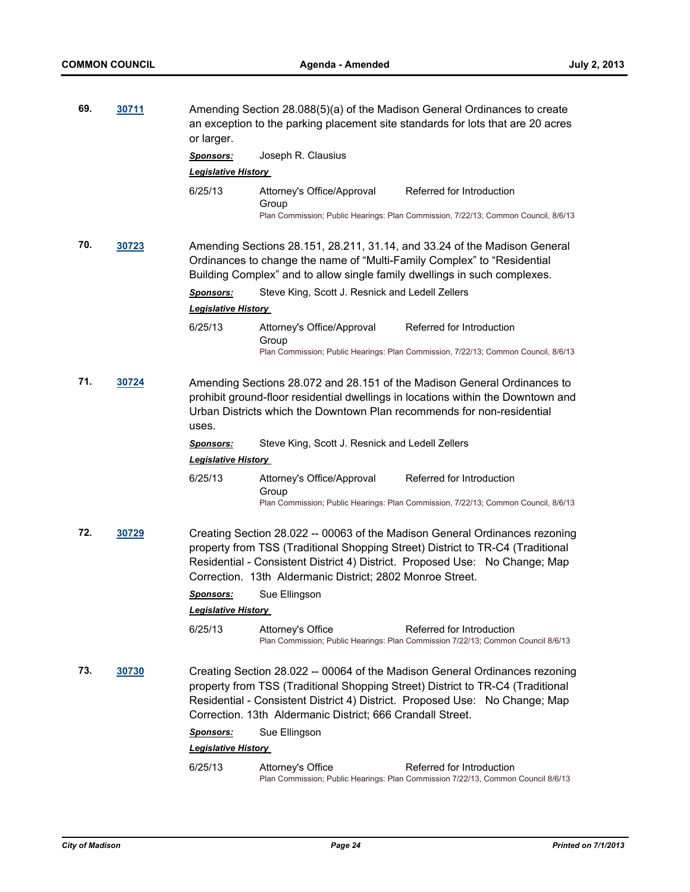| 69. | 30711 | or larger.                                     |                                                            | Amending Section 28.088(5)(a) of the Madison General Ordinances to create<br>an exception to the parking placement site standards for lots that are 20 acres                                                                                 |
|-----|-------|------------------------------------------------|------------------------------------------------------------|----------------------------------------------------------------------------------------------------------------------------------------------------------------------------------------------------------------------------------------------|
|     |       | <b>Sponsors:</b>                               | Joseph R. Clausius                                         |                                                                                                                                                                                                                                              |
|     |       | <b>Legislative History</b>                     |                                                            |                                                                                                                                                                                                                                              |
|     |       | 6/25/13                                        | Attorney's Office/Approval<br>Group                        | Referred for Introduction                                                                                                                                                                                                                    |
|     |       |                                                |                                                            | Plan Commission; Public Hearings: Plan Commission, 7/22/13; Common Council, 8/6/13                                                                                                                                                           |
| 70. | 30723 |                                                |                                                            | Amending Sections 28.151, 28.211, 31.14, and 33.24 of the Madison General<br>Ordinances to change the name of "Multi-Family Complex" to "Residential<br>Building Complex" and to allow single family dwellings in such complexes.            |
|     |       | <b>Sponsors:</b>                               | Steve King, Scott J. Resnick and Ledell Zellers            |                                                                                                                                                                                                                                              |
|     |       | <b>Legislative History</b>                     |                                                            |                                                                                                                                                                                                                                              |
|     |       | 6/25/13                                        | Attorney's Office/Approval<br>Group                        | Referred for Introduction                                                                                                                                                                                                                    |
|     |       |                                                |                                                            | Plan Commission; Public Hearings: Plan Commission, 7/22/13; Common Council, 8/6/13                                                                                                                                                           |
| 71. | 30724 | uses.                                          |                                                            | Amending Sections 28.072 and 28.151 of the Madison General Ordinances to<br>prohibit ground-floor residential dwellings in locations within the Downtown and<br>Urban Districts which the Downtown Plan recommends for non-residential       |
|     |       | <u>Sponsors:</u><br><b>Legislative History</b> | Steve King, Scott J. Resnick and Ledell Zellers            |                                                                                                                                                                                                                                              |
|     |       | 6/25/13                                        | Attorney's Office/Approval<br>Group                        | Referred for Introduction                                                                                                                                                                                                                    |
|     |       |                                                |                                                            | Plan Commission; Public Hearings: Plan Commission, 7/22/13; Common Council, 8/6/13                                                                                                                                                           |
| 72. | 30729 |                                                | Correction. 13th Aldermanic District; 2802 Monroe Street.  | Creating Section 28.022 -- 00063 of the Madison General Ordinances rezoning<br>property from TSS (Traditional Shopping Street) District to TR-C4 (Traditional<br>Residential - Consistent District 4) District. Proposed Use: No Change; Map |
|     |       | <b>Sponsors:</b>                               | Sue Ellingson                                              |                                                                                                                                                                                                                                              |
|     |       | <b>Legislative History</b>                     |                                                            |                                                                                                                                                                                                                                              |
|     |       | 6/25/13                                        | Attorney's Office                                          | Referred for Introduction<br>Plan Commission; Public Hearings: Plan Commission 7/22/13; Common Council 8/6/13                                                                                                                                |
| 73. | 30730 |                                                | Correction. 13th Aldermanic District; 666 Crandall Street. | Creating Section 28.022 -- 00064 of the Madison General Ordinances rezoning<br>property from TSS (Traditional Shopping Street) District to TR-C4 (Traditional<br>Residential - Consistent District 4) District. Proposed Use: No Change; Map |
|     |       | <u>Sponsors:</u>                               | Sue Ellingson                                              |                                                                                                                                                                                                                                              |
|     |       | <b>Legislative History</b>                     |                                                            |                                                                                                                                                                                                                                              |
|     |       | 6/25/13                                        | Attorney's Office                                          | Referred for Introduction<br>Plan Commission; Public Hearings: Plan Commission 7/22/13, Common Council 8/6/13                                                                                                                                |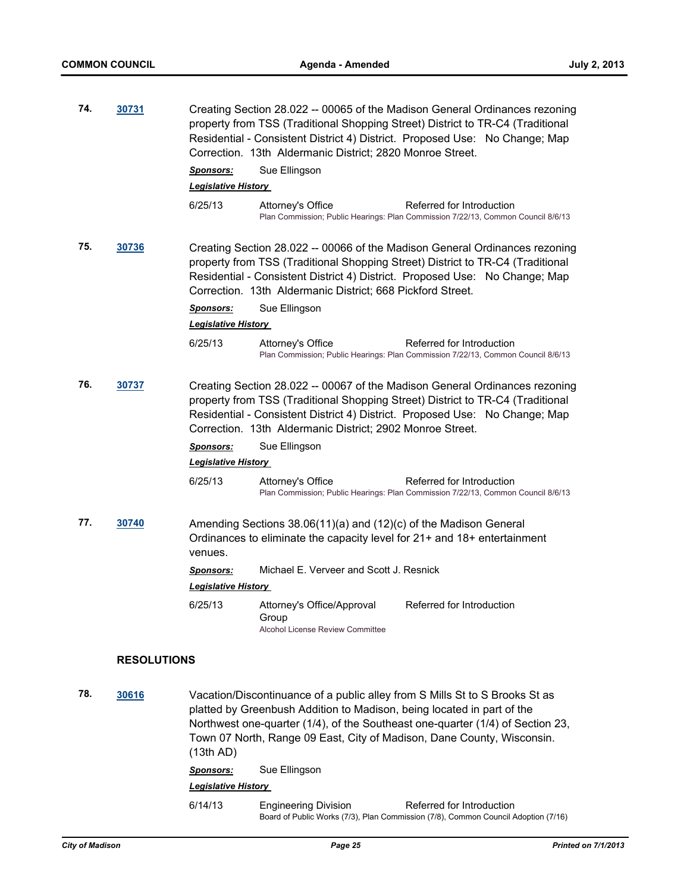| 74. | 30731              |                             | Correction. 13th Aldermanic District; 2820 Monroe Street.                                                                                                                                                                       | Creating Section 28.022 -- 00065 of the Madison General Ordinances rezoning<br>property from TSS (Traditional Shopping Street) District to TR-C4 (Traditional<br>Residential - Consistent District 4) District. Proposed Use: No Change; Map |
|-----|--------------------|-----------------------------|---------------------------------------------------------------------------------------------------------------------------------------------------------------------------------------------------------------------------------|----------------------------------------------------------------------------------------------------------------------------------------------------------------------------------------------------------------------------------------------|
|     |                    | <b>Sponsors:</b>            | Sue Ellingson                                                                                                                                                                                                                   |                                                                                                                                                                                                                                              |
|     |                    | <u> Legislative History</u> |                                                                                                                                                                                                                                 |                                                                                                                                                                                                                                              |
|     |                    | 6/25/13                     | Attorney's Office                                                                                                                                                                                                               | Referred for Introduction<br>Plan Commission; Public Hearings: Plan Commission 7/22/13, Common Council 8/6/13                                                                                                                                |
| 75. | 30736              |                             | Correction. 13th Aldermanic District; 668 Pickford Street.                                                                                                                                                                      | Creating Section 28.022 -- 00066 of the Madison General Ordinances rezoning<br>property from TSS (Traditional Shopping Street) District to TR-C4 (Traditional<br>Residential - Consistent District 4) District. Proposed Use: No Change; Map |
|     |                    | <u>Sponsors:</u>            | Sue Ellingson                                                                                                                                                                                                                   |                                                                                                                                                                                                                                              |
|     |                    | <u> Legislative History</u> |                                                                                                                                                                                                                                 |                                                                                                                                                                                                                                              |
|     |                    | 6/25/13                     | Attorney's Office                                                                                                                                                                                                               | Referred for Introduction<br>Plan Commission; Public Hearings: Plan Commission 7/22/13, Common Council 8/6/13                                                                                                                                |
| 76. | 30737              |                             | Correction. 13th Aldermanic District; 2902 Monroe Street.                                                                                                                                                                       | Creating Section 28.022 -- 00067 of the Madison General Ordinances rezoning<br>property from TSS (Traditional Shopping Street) District to TR-C4 (Traditional<br>Residential - Consistent District 4) District. Proposed Use: No Change; Map |
|     |                    | <u>Sponsors:</u>            | Sue Ellingson                                                                                                                                                                                                                   |                                                                                                                                                                                                                                              |
|     |                    | <b>Legislative History</b>  |                                                                                                                                                                                                                                 |                                                                                                                                                                                                                                              |
|     |                    | 6/25/13                     | Attorney's Office                                                                                                                                                                                                               | Referred for Introduction<br>Plan Commission; Public Hearings: Plan Commission 7/22/13, Common Council 8/6/13                                                                                                                                |
| 77. | 30740              | venues.                     | Amending Sections 38.06(11)(a) and (12)(c) of the Madison General<br>Ordinances to eliminate the capacity level for 21+ and 18+ entertainment                                                                                   |                                                                                                                                                                                                                                              |
|     |                    | <u>Sponsors:</u>            | Michael E. Verveer and Scott J. Resnick                                                                                                                                                                                         |                                                                                                                                                                                                                                              |
|     |                    | <b>Legislative History</b>  |                                                                                                                                                                                                                                 |                                                                                                                                                                                                                                              |
|     |                    | 6/25/13                     | Attorney's Office/Approval<br>Group<br><b>Alcohol License Review Committee</b>                                                                                                                                                  | Referred for Introduction                                                                                                                                                                                                                    |
|     | <b>RESOLUTIONS</b> |                             |                                                                                                                                                                                                                                 |                                                                                                                                                                                                                                              |
| 78. | 30616              | (13th AD)                   | Vacation/Discontinuance of a public alley from S Mills St to S Brooks St as<br>platted by Greenbush Addition to Madison, being located in part of the<br>Town 07 North, Range 09 East, City of Madison, Dane County, Wisconsin. | Northwest one-quarter (1/4), of the Southeast one-quarter (1/4) of Section 23,                                                                                                                                                               |

*Sponsors:* Sue Ellingson

#### *Legislative History*

6/14/13 Engineering Division Referred for Introduction Board of Public Works (7/3), Plan Commission (7/8), Common Council Adoption (7/16)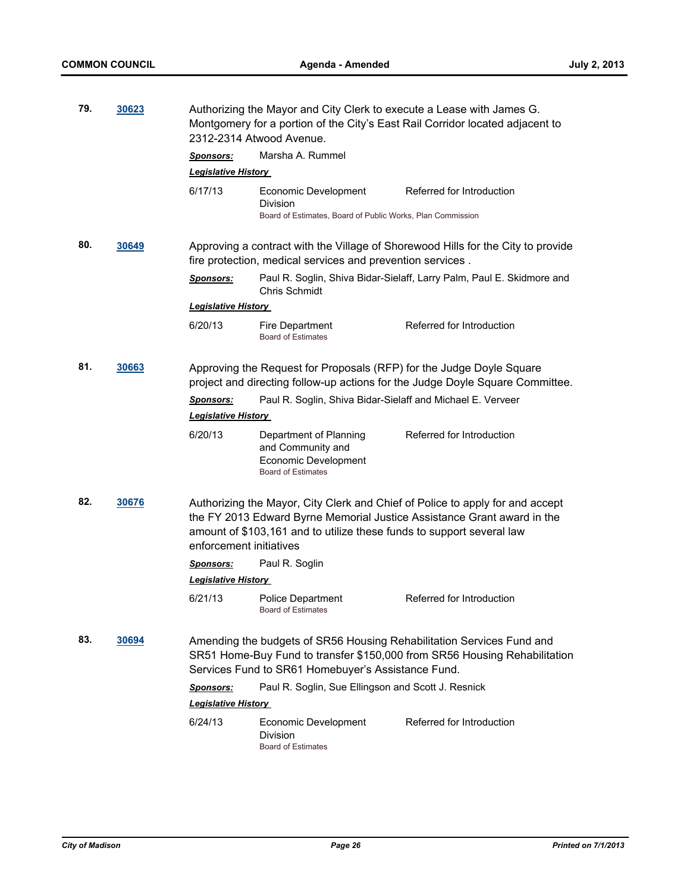| 79.<br>30623 |              | Authorizing the Mayor and City Clerk to execute a Lease with James G.<br>Montgomery for a portion of the City's East Rail Corridor located adjacent to<br>2312-2314 Atwood Avenue. |                                                                                                  |                                                                                                                                                          |  |  |
|--------------|--------------|------------------------------------------------------------------------------------------------------------------------------------------------------------------------------------|--------------------------------------------------------------------------------------------------|----------------------------------------------------------------------------------------------------------------------------------------------------------|--|--|
|              |              | <u>Sponsors:</u><br><b>Legislative History</b>                                                                                                                                     | Marsha A. Rummel                                                                                 |                                                                                                                                                          |  |  |
|              |              | 6/17/13                                                                                                                                                                            | Economic Development<br>Division<br>Board of Estimates, Board of Public Works, Plan Commission   | Referred for Introduction                                                                                                                                |  |  |
| 80.          | 30649        |                                                                                                                                                                                    | fire protection, medical services and prevention services.                                       | Approving a contract with the Village of Shorewood Hills for the City to provide                                                                         |  |  |
|              |              | <u>Sponsors:</u>                                                                                                                                                                   | <b>Chris Schmidt</b>                                                                             | Paul R. Soglin, Shiva Bidar-Sielaff, Larry Palm, Paul E. Skidmore and                                                                                    |  |  |
|              |              | <b>Legislative History</b>                                                                                                                                                         |                                                                                                  |                                                                                                                                                          |  |  |
|              |              | 6/20/13                                                                                                                                                                            | Fire Department<br><b>Board of Estimates</b>                                                     | Referred for Introduction                                                                                                                                |  |  |
| 81.          | 30663        |                                                                                                                                                                                    | Approving the Request for Proposals (RFP) for the Judge Doyle Square                             | project and directing follow-up actions for the Judge Doyle Square Committee.                                                                            |  |  |
|              |              | <b>Sponsors:</b>                                                                                                                                                                   | Paul R. Soglin, Shiva Bidar-Sielaff and Michael E. Verveer                                       |                                                                                                                                                          |  |  |
|              |              | <b>Legislative History</b>                                                                                                                                                         |                                                                                                  |                                                                                                                                                          |  |  |
|              |              | 6/20/13                                                                                                                                                                            | Department of Planning<br>and Community and<br>Economic Development<br><b>Board of Estimates</b> | Referred for Introduction                                                                                                                                |  |  |
| 82.          | 30676        | enforcement initiatives                                                                                                                                                            | amount of \$103,161 and to utilize these funds to support several law                            | Authorizing the Mayor, City Clerk and Chief of Police to apply for and accept<br>the FY 2013 Edward Byrne Memorial Justice Assistance Grant award in the |  |  |
|              |              | <u>Sponsors:</u>                                                                                                                                                                   | Paul R. Soglin                                                                                   |                                                                                                                                                          |  |  |
|              |              | <u> Legislative History</u>                                                                                                                                                        |                                                                                                  |                                                                                                                                                          |  |  |
|              |              | 6/21/13                                                                                                                                                                            | <b>Police Department</b><br><b>Board of Estimates</b>                                            | Referred for Introduction                                                                                                                                |  |  |
| 83.          | <u>30694</u> |                                                                                                                                                                                    | Services Fund to SR61 Homebuyer's Assistance Fund.                                               | Amending the budgets of SR56 Housing Rehabilitation Services Fund and<br>SR51 Home-Buy Fund to transfer \$150,000 from SR56 Housing Rehabilitation       |  |  |
|              |              | <u>Sponsors:</u>                                                                                                                                                                   | Paul R. Soglin, Sue Ellingson and Scott J. Resnick                                               |                                                                                                                                                          |  |  |
|              |              | <b>Legislative History</b>                                                                                                                                                         |                                                                                                  |                                                                                                                                                          |  |  |
|              |              | 6/24/13                                                                                                                                                                            | Economic Development<br>Division<br><b>Board of Estimates</b>                                    | Referred for Introduction                                                                                                                                |  |  |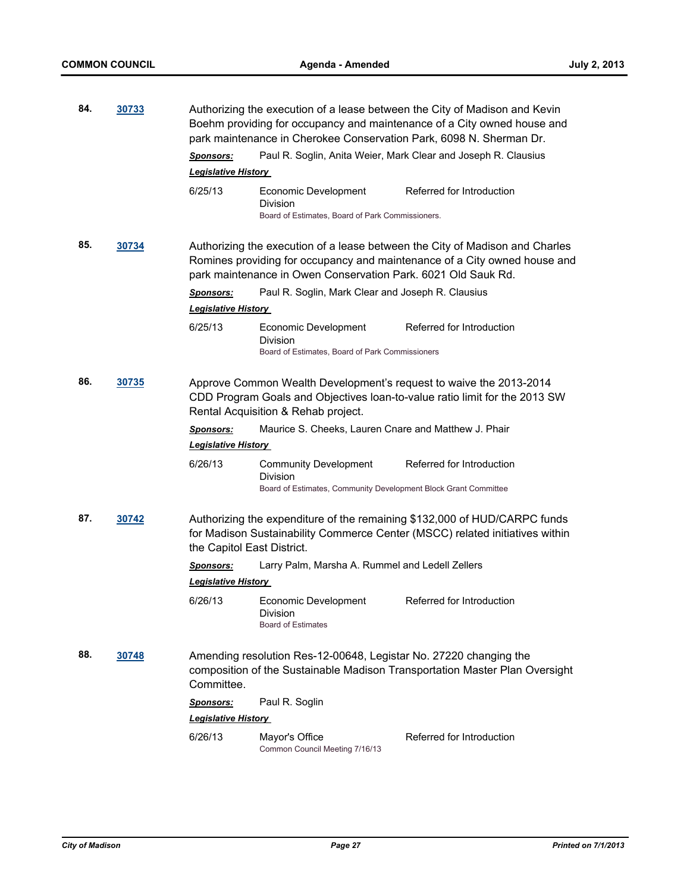| 84.          | 30733 |                                                | park maintenance in Cherokee Conservation Park, 6098 N. Sherman Dr.                                         | Authorizing the execution of a lease between the City of Madison and Kevin<br>Boehm providing for occupancy and maintenance of a City owned house and     |
|--------------|-------|------------------------------------------------|-------------------------------------------------------------------------------------------------------------|-----------------------------------------------------------------------------------------------------------------------------------------------------------|
|              |       | <u>Sponsors:</u><br><b>Legislative History</b> |                                                                                                             | Paul R. Soglin, Anita Weier, Mark Clear and Joseph R. Clausius                                                                                            |
|              |       | 6/25/13                                        | Economic Development<br>Division<br>Board of Estimates, Board of Park Commissioners.                        | Referred for Introduction                                                                                                                                 |
| 85.          | 30734 |                                                | park maintenance in Owen Conservation Park. 6021 Old Sauk Rd.                                               | Authorizing the execution of a lease between the City of Madison and Charles<br>Romines providing for occupancy and maintenance of a City owned house and |
|              |       | <b>Sponsors:</b><br><b>Legislative History</b> | Paul R. Soglin, Mark Clear and Joseph R. Clausius                                                           |                                                                                                                                                           |
|              |       | 6/25/13                                        | Economic Development<br>Division<br>Board of Estimates. Board of Park Commissioners                         | Referred for Introduction                                                                                                                                 |
| 86.          | 30735 |                                                | Rental Acquisition & Rehab project.                                                                         | Approve Common Wealth Development's request to waive the 2013-2014<br>CDD Program Goals and Objectives Ioan-to-value ratio limit for the 2013 SW          |
|              |       | <b>Sponsors:</b><br><b>Legislative History</b> | Maurice S. Cheeks, Lauren Cnare and Matthew J. Phair                                                        |                                                                                                                                                           |
|              |       | 6/26/13                                        | <b>Community Development</b><br>Division<br>Board of Estimates, Community Development Block Grant Committee | Referred for Introduction                                                                                                                                 |
| 87.<br>30742 |       | the Capitol East District.                     |                                                                                                             | Authorizing the expenditure of the remaining \$132,000 of HUD/CARPC funds<br>for Madison Sustainability Commerce Center (MSCC) related initiatives within |
|              |       | <b>Sponsors:</b>                               | Larry Palm, Marsha A. Rummel and Ledell Zellers                                                             |                                                                                                                                                           |
|              |       | <u> Legislative History</u>                    |                                                                                                             |                                                                                                                                                           |
|              |       | 6/26/13                                        | Economic Development<br>Division<br><b>Board of Estimates</b>                                               | Referred for Introduction                                                                                                                                 |
| 88.          | 30748 | Committee.                                     | Amending resolution Res-12-00648, Legistar No. 27220 changing the                                           | composition of the Sustainable Madison Transportation Master Plan Oversight                                                                               |
|              |       | <u>Sponsors:</u>                               | Paul R. Soglin                                                                                              |                                                                                                                                                           |
|              |       | <b>Legislative History</b>                     |                                                                                                             |                                                                                                                                                           |
|              |       | 6/26/13                                        | Mayor's Office<br>Common Council Meeting 7/16/13                                                            | Referred for Introduction                                                                                                                                 |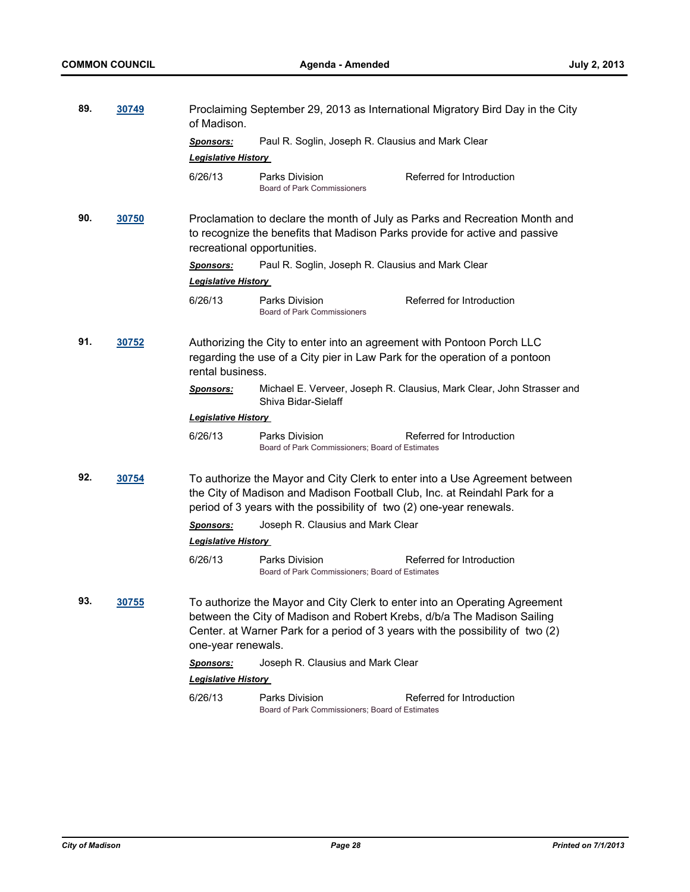| 89.<br>30749 |       | Proclaiming September 29, 2013 as International Migratory Bird Day in the City<br>of Madison.                                                                                                                                     |                                                                   |                                                                                                                                                                                                                                         |  |
|--------------|-------|-----------------------------------------------------------------------------------------------------------------------------------------------------------------------------------------------------------------------------------|-------------------------------------------------------------------|-----------------------------------------------------------------------------------------------------------------------------------------------------------------------------------------------------------------------------------------|--|
|              |       | Paul R. Soglin, Joseph R. Clausius and Mark Clear<br><b>Sponsors:</b><br><b>Legislative History</b>                                                                                                                               |                                                                   |                                                                                                                                                                                                                                         |  |
|              |       | 6/26/13                                                                                                                                                                                                                           | Parks Division<br><b>Board of Park Commissioners</b>              | Referred for Introduction                                                                                                                                                                                                               |  |
| 90.          | 30750 | recreational opportunities.                                                                                                                                                                                                       |                                                                   | Proclamation to declare the month of July as Parks and Recreation Month and<br>to recognize the benefits that Madison Parks provide for active and passive                                                                              |  |
|              |       | Sponsors:                                                                                                                                                                                                                         | Paul R. Soglin, Joseph R. Clausius and Mark Clear                 |                                                                                                                                                                                                                                         |  |
|              |       | <b>Legislative History</b>                                                                                                                                                                                                        |                                                                   |                                                                                                                                                                                                                                         |  |
|              |       | 6/26/13                                                                                                                                                                                                                           | Parks Division<br><b>Board of Park Commissioners</b>              | Referred for Introduction                                                                                                                                                                                                               |  |
| 91.<br>30752 |       | Authorizing the City to enter into an agreement with Pontoon Porch LLC<br>regarding the use of a City pier in Law Park for the operation of a pontoon<br>rental business.                                                         |                                                                   |                                                                                                                                                                                                                                         |  |
|              |       | <u>Sponsors:</u>                                                                                                                                                                                                                  | Shiva Bidar-Sielaff                                               | Michael E. Verveer, Joseph R. Clausius, Mark Clear, John Strasser and                                                                                                                                                                   |  |
|              |       | <b>Legislative History</b>                                                                                                                                                                                                        |                                                                   |                                                                                                                                                                                                                                         |  |
|              |       | 6/26/13                                                                                                                                                                                                                           | Parks Division<br>Board of Park Commissioners; Board of Estimates | Referred for Introduction                                                                                                                                                                                                               |  |
| 92.<br>30754 |       | To authorize the Mayor and City Clerk to enter into a Use Agreement between<br>the City of Madison and Madison Football Club, Inc. at Reindahl Park for a<br>period of 3 years with the possibility of two (2) one-year renewals. |                                                                   |                                                                                                                                                                                                                                         |  |
|              |       | <b>Sponsors:</b>                                                                                                                                                                                                                  | Joseph R. Clausius and Mark Clear                                 |                                                                                                                                                                                                                                         |  |
|              |       | <b>Legislative History</b>                                                                                                                                                                                                        |                                                                   |                                                                                                                                                                                                                                         |  |
|              |       | 6/26/13                                                                                                                                                                                                                           | Parks Division<br>Board of Park Commissioners; Board of Estimates | Referred for Introduction                                                                                                                                                                                                               |  |
| 93.          | 30755 | one-year renewals.                                                                                                                                                                                                                |                                                                   | To authorize the Mayor and City Clerk to enter into an Operating Agreement<br>between the City of Madison and Robert Krebs, d/b/a The Madison Sailing<br>Center. at Warner Park for a period of 3 years with the possibility of two (2) |  |
|              |       | <u>Sponsors:</u>                                                                                                                                                                                                                  | Joseph R. Clausius and Mark Clear                                 |                                                                                                                                                                                                                                         |  |
|              |       | <b>Legislative History</b>                                                                                                                                                                                                        |                                                                   |                                                                                                                                                                                                                                         |  |
|              |       | 6/26/13                                                                                                                                                                                                                           | Parks Division<br>Board of Park Commissioners; Board of Estimates | Referred for Introduction                                                                                                                                                                                                               |  |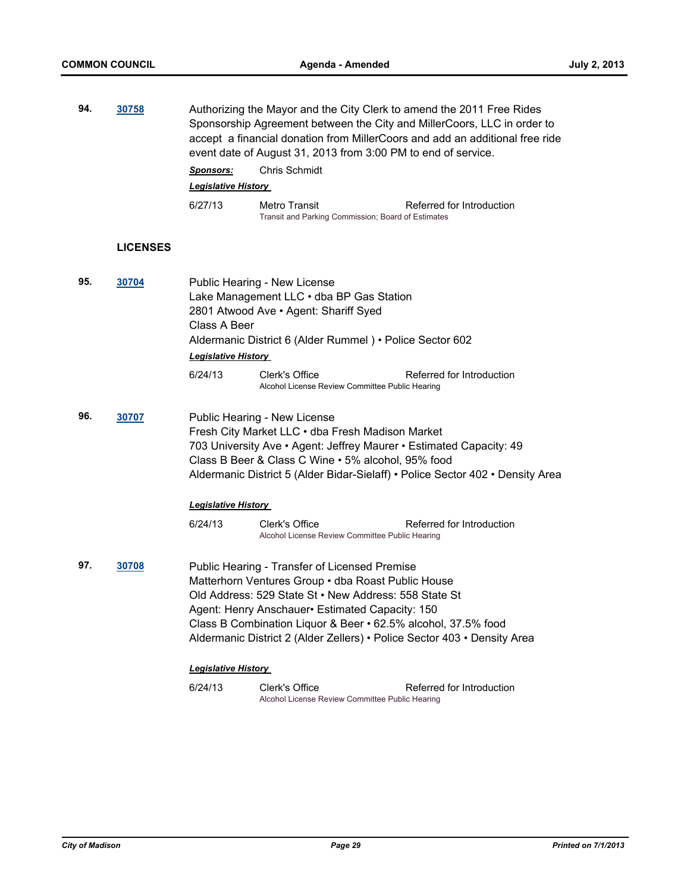| 94.          | 30758           | Authorizing the Mayor and the City Clerk to amend the 2011 Free Rides<br>Sponsorship Agreement between the City and MillerCoors, LLC in order to<br>accept a financial donation from MillerCoors and add an additional free ride<br>event date of August 31, 2013 from 3:00 PM to end of service. |                                                                                                                                                                                                                                                                                                                                                               |                                                                                |  |
|--------------|-----------------|---------------------------------------------------------------------------------------------------------------------------------------------------------------------------------------------------------------------------------------------------------------------------------------------------|---------------------------------------------------------------------------------------------------------------------------------------------------------------------------------------------------------------------------------------------------------------------------------------------------------------------------------------------------------------|--------------------------------------------------------------------------------|--|
|              |                 | <b>Sponsors:</b>                                                                                                                                                                                                                                                                                  | Chris Schmidt                                                                                                                                                                                                                                                                                                                                                 |                                                                                |  |
|              |                 | <b>Legislative History</b>                                                                                                                                                                                                                                                                        |                                                                                                                                                                                                                                                                                                                                                               |                                                                                |  |
|              |                 | 6/27/13                                                                                                                                                                                                                                                                                           | Metro Transit<br>Transit and Parking Commission; Board of Estimates                                                                                                                                                                                                                                                                                           | Referred for Introduction                                                      |  |
|              | <b>LICENSES</b> |                                                                                                                                                                                                                                                                                                   |                                                                                                                                                                                                                                                                                                                                                               |                                                                                |  |
| 95.<br>30704 |                 | Class A Beer                                                                                                                                                                                                                                                                                      | Public Hearing - New License<br>Lake Management LLC . dba BP Gas Station<br>2801 Atwood Ave . Agent: Shariff Syed<br>Aldermanic District 6 (Alder Rummel) • Police Sector 602                                                                                                                                                                                 |                                                                                |  |
|              |                 | <b>Legislative History</b>                                                                                                                                                                                                                                                                        |                                                                                                                                                                                                                                                                                                                                                               |                                                                                |  |
|              |                 | 6/24/13                                                                                                                                                                                                                                                                                           | Clerk's Office<br>Alcohol License Review Committee Public Hearing                                                                                                                                                                                                                                                                                             | Referred for Introduction                                                      |  |
| 96.          | 30707           |                                                                                                                                                                                                                                                                                                   | Public Hearing - New License<br>Fresh City Market LLC . dba Fresh Madison Market<br>703 University Ave • Agent: Jeffrey Maurer • Estimated Capacity: 49<br>Class B Beer & Class C Wine . 5% alcohol, 95% food                                                                                                                                                 | Aldermanic District 5 (Alder Bidar-Sielaff) • Police Sector 402 • Density Area |  |
|              |                 | <b>Legislative History</b>                                                                                                                                                                                                                                                                        |                                                                                                                                                                                                                                                                                                                                                               |                                                                                |  |
|              |                 | 6/24/13                                                                                                                                                                                                                                                                                           | Clerk's Office<br>Alcohol License Review Committee Public Hearing                                                                                                                                                                                                                                                                                             | Referred for Introduction                                                      |  |
| 97.          | 30708           |                                                                                                                                                                                                                                                                                                   | Public Hearing - Transfer of Licensed Premise<br>Matterhorn Ventures Group . dba Roast Public House<br>Old Address: 529 State St . New Address: 558 State St<br>Agent: Henry Anschauer · Estimated Capacity: 150<br>Class B Combination Liquor & Beer . 62.5% alcohol, 37.5% food<br>Aldermanic District 2 (Alder Zellers) • Police Sector 403 • Density Area |                                                                                |  |
|              |                 | <b>Legislative History</b>                                                                                                                                                                                                                                                                        |                                                                                                                                                                                                                                                                                                                                                               |                                                                                |  |
|              |                 | 6/24/13                                                                                                                                                                                                                                                                                           | Clerk's Office                                                                                                                                                                                                                                                                                                                                                | Referred for Introduction                                                      |  |

Alcohol License Review Committee Public Hearing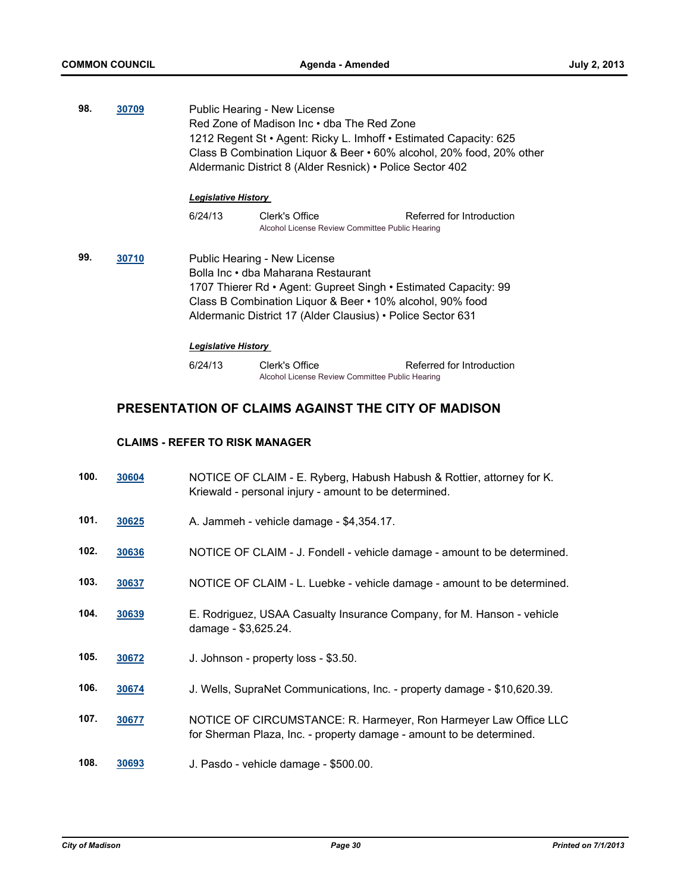**98. [30709](http://madison.legistar.com/gateway.aspx?m=l&id=/matter.aspx?key=33622)** Public Hearing - New License Red Zone of Madison Inc • dba The Red Zone 1212 Regent St • Agent: Ricky L. Imhoff • Estimated Capacity: 625 Class B Combination Liquor & Beer • 60% alcohol, 20% food, 20% other Aldermanic District 8 (Alder Resnick) • Police Sector 402

#### *Legislative History*

6/24/13 Clerk's Office Referred for Introduction Alcohol License Review Committee Public Hearing

**99. [30710](http://madison.legistar.com/gateway.aspx?m=l&id=/matter.aspx?key=33623)** Public Hearing - New License Bolla Inc • dba Maharana Restaurant 1707 Thierer Rd • Agent: Gupreet Singh • Estimated Capacity: 99 Class B Combination Liquor & Beer • 10% alcohol, 90% food Aldermanic District 17 (Alder Clausius) • Police Sector 631

#### *Legislative History*

| 6/24/13 | Clerk's Office                                  | Referred for Introduction |
|---------|-------------------------------------------------|---------------------------|
|         | Alcohol License Review Committee Public Hearing |                           |

# **PRESENTATION OF CLAIMS AGAINST THE CITY OF MADISON**

#### **CLAIMS - REFER TO RISK MANAGER**

| 100. | 30604 | NOTICE OF CLAIM - E. Ryberg, Habush Habush & Rottier, attorney for K.<br>Kriewald - personal injury - amount to be determined.           |
|------|-------|------------------------------------------------------------------------------------------------------------------------------------------|
| 101. | 30625 | A. Jammeh - vehicle damage - \$4,354.17.                                                                                                 |
| 102. | 30636 | NOTICE OF CLAIM - J. Fondell - vehicle damage - amount to be determined.                                                                 |
| 103. | 30637 | NOTICE OF CLAIM - L. Luebke - vehicle damage - amount to be determined.                                                                  |
| 104. | 30639 | E. Rodriguez, USAA Casualty Insurance Company, for M. Hanson - vehicle<br>damage - \$3,625.24.                                           |
| 105. | 30672 | J. Johnson - property loss - \$3.50.                                                                                                     |
| 106. | 30674 | J. Wells, SupraNet Communications, Inc. - property damage - \$10,620.39.                                                                 |
| 107. | 30677 | NOTICE OF CIRCUMSTANCE: R. Harmeyer, Ron Harmeyer Law Office LLC<br>for Sherman Plaza, Inc. - property damage - amount to be determined. |
| 108. | 30693 | J. Pasdo - vehicle damage - \$500.00.                                                                                                    |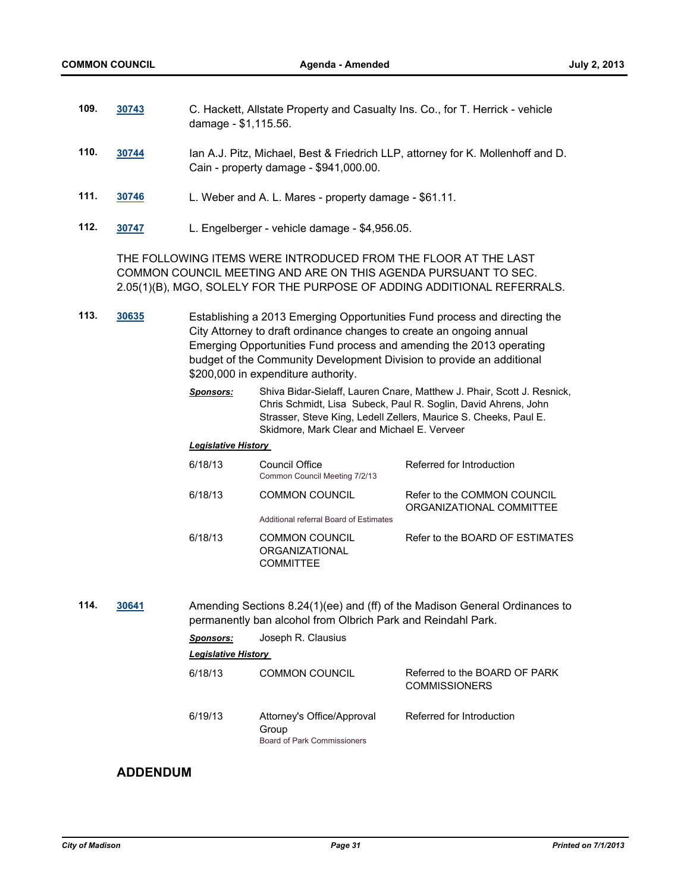| 109. | 30743 | C. Hackett, Allstate Property and Casualty Ins. Co., for T. Herrick - vehicle |
|------|-------|-------------------------------------------------------------------------------|
|      |       | damage - \$1,115.56.                                                          |
|      |       |                                                                               |

- **110. [30744](http://madison.legistar.com/gateway.aspx?m=l&id=/matter.aspx?key=33656)** Ian A.J. Pitz, Michael, Best & Friedrich LLP, attorney for K. Mollenhoff and D. Cain - property damage - \$941,000.00.
- **111. [30746](http://madison.legistar.com/gateway.aspx?m=l&id=/matter.aspx?key=33658)** L. Weber and A. L. Mares property damage \$61.11.
- **112. [30747](http://madison.legistar.com/gateway.aspx?m=l&id=/matter.aspx?key=33659)** L. Engelberger vehicle damage \$4,956.05.

THE FOLLOWING ITEMS WERE INTRODUCED FROM THE FLOOR AT THE LAST COMMON COUNCIL MEETING AND ARE ON THIS AGENDA PURSUANT TO SEC. 2.05(1)(B), MGO, SOLELY FOR THE PURPOSE OF ADDING ADDITIONAL REFERRALS.

**113. [30635](http://madison.legistar.com/gateway.aspx?m=l&id=/matter.aspx?key=33543)** Establishing a 2013 Emerging Opportunities Fund process and directing the City Attorney to draft ordinance changes to create an ongoing annual Emerging Opportunities Fund process and amending the 2013 operating budget of the Community Development Division to provide an additional \$200,000 in expenditure authority.

| <b>Sponsors:</b> | Shiva Bidar-Sielaff, Lauren Cnare, Matthew J. Phair, Scott J. Resnick. |  |
|------------------|------------------------------------------------------------------------|--|
|                  | Chris Schmidt, Lisa Subeck, Paul R. Soglin, David Ahrens, John         |  |
|                  | Strasser, Steve King, Ledell Zellers, Maurice S. Cheeks, Paul E.       |  |
|                  | Skidmore, Mark Clear and Michael E. Verveer                            |  |

#### *Legislative History*

| 6/18/13 | Council Office<br>Common Council Meeting 7/2/13                    | Referred for Introduction                               |
|---------|--------------------------------------------------------------------|---------------------------------------------------------|
| 6/18/13 | <b>COMMON COUNCIL</b>                                              | Refer to the COMMON COUNCIL<br>ORGANIZATIONAL COMMITTEE |
|         | Additional referral Board of Estimates                             |                                                         |
| 6/18/13 | <b>COMMON COUNCIL</b><br><b>ORGANIZATIONAL</b><br><b>COMMITTEE</b> | Refer to the BOARD OF ESTIMATES                         |

**114. [30641](http://madison.legistar.com/gateway.aspx?m=l&id=/matter.aspx?key=33552)** Amending Sections 8.24(1)(ee) and (ff) of the Madison General Ordinances to permanently ban alcohol from Olbrich Park and Reindahl Park.

| <b>Sponsors:</b>           | Joseph R. Clausius                                                 |                                                       |  |  |  |  |
|----------------------------|--------------------------------------------------------------------|-------------------------------------------------------|--|--|--|--|
| <b>Legislative History</b> |                                                                    |                                                       |  |  |  |  |
| 6/18/13                    | <b>COMMON COUNCIL</b>                                              | Referred to the BOARD OF PARK<br><b>COMMISSIONERS</b> |  |  |  |  |
| 6/19/13                    | Attorney's Office/Approval<br>Group<br>Board of Park Commissioners | Referred for Introduction                             |  |  |  |  |

# **ADDENDUM**